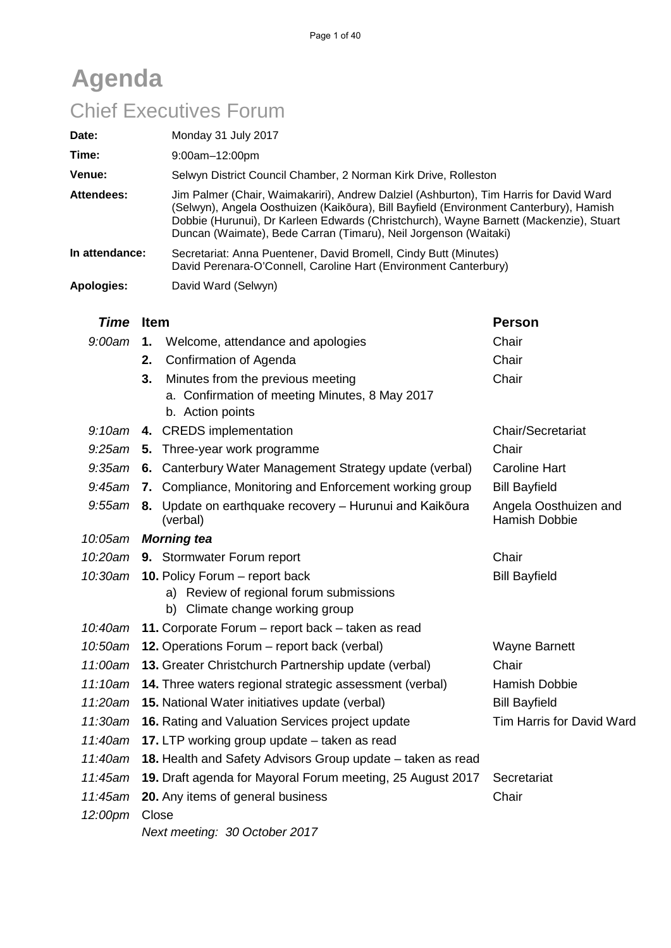# **Agenda** Chief Executives Forum

| Date:<br>Time:<br>Venue: | Monday 31 July 2017<br>$9:00am-12:00pm$<br>Selwyn District Council Chamber, 2 Norman Kirk Drive, Rolleston                                                                                                                                                                                                                                     |
|--------------------------|------------------------------------------------------------------------------------------------------------------------------------------------------------------------------------------------------------------------------------------------------------------------------------------------------------------------------------------------|
| Attendees:               | Jim Palmer (Chair, Waimakariri), Andrew Dalziel (Ashburton), Tim Harris for David Ward<br>(Selwyn), Angela Oosthuizen (Kaikōura), Bill Bayfield (Environment Canterbury), Hamish<br>Dobbie (Hurunui), Dr Karleen Edwards (Christchurch), Wayne Barnett (Mackenzie), Stuart<br>Duncan (Waimate), Bede Carran (Timaru), Neil Jorgenson (Waitaki) |
| In attendance:           | Secretariat: Anna Puentener, David Bromell, Cindy Butt (Minutes)<br>David Perenara-O'Connell, Caroline Hart (Environment Canterbury)                                                                                                                                                                                                           |
| Apologies:               | David Ward (Selwyn)                                                                                                                                                                                                                                                                                                                            |

| <b>Time</b> | <b>Item</b>                                                                                                             | <b>Person</b>             |  |  |
|-------------|-------------------------------------------------------------------------------------------------------------------------|---------------------------|--|--|
| 9:00am      | Welcome, attendance and apologies<br>1.                                                                                 | Chair                     |  |  |
|             | <b>Confirmation of Agenda</b><br>2.                                                                                     | Chair                     |  |  |
|             | Minutes from the previous meeting<br>3.                                                                                 | Chair                     |  |  |
|             | a. Confirmation of meeting Minutes, 8 May 2017<br>b. Action points                                                      |                           |  |  |
|             | 9:10am 4. CREDS implementation                                                                                          | Chair/Secretariat         |  |  |
| $9:25$ am   | 5. Three-year work programme                                                                                            | Chair                     |  |  |
|             | 9:35am 6. Canterbury Water Management Strategy update (verbal)                                                          | <b>Caroline Hart</b>      |  |  |
| $9:45$ am   | 7. Compliance, Monitoring and Enforcement working group                                                                 | <b>Bill Bayfield</b>      |  |  |
| 9:55am      | Update on earthquake recovery - Hurunui and Kaikoura<br>Angela Oosthuizen and<br>8.<br><b>Hamish Dobbie</b><br>(verbal) |                           |  |  |
| 10:05am     | <b>Morning tea</b>                                                                                                      |                           |  |  |
| 10:20am     | 9. Stormwater Forum report                                                                                              | Chair                     |  |  |
| 10:30am     | 10. Policy Forum - report back                                                                                          | <b>Bill Bayfield</b>      |  |  |
|             | a) Review of regional forum submissions                                                                                 |                           |  |  |
|             | b) Climate change working group                                                                                         |                           |  |  |
| 10:40am     | 11. Corporate Forum - report back - taken as read                                                                       |                           |  |  |
| 10:50am     | 12. Operations Forum - report back (verbal)                                                                             | <b>Wayne Barnett</b>      |  |  |
| 11:00am     | 13. Greater Christchurch Partnership update (verbal)<br>Chair                                                           |                           |  |  |
| 11:10am     | 14. Three waters regional strategic assessment (verbal)<br><b>Hamish Dobbie</b>                                         |                           |  |  |
| 11:20am     | 15. National Water initiatives update (verbal)                                                                          | <b>Bill Bayfield</b>      |  |  |
| 11:30am     | 16. Rating and Valuation Services project update                                                                        | Tim Harris for David Ward |  |  |
| 11:40am     | 17. LTP working group update – taken as read                                                                            |                           |  |  |
| 11:40am     | 18. Health and Safety Advisors Group update - taken as read                                                             |                           |  |  |
| 11:45am     | 19. Draft agenda for Mayoral Forum meeting, 25 August 2017                                                              | Secretariat               |  |  |
| 11:45am     | 20. Any items of general business                                                                                       | Chair                     |  |  |
| 12:00pm     | Close                                                                                                                   |                           |  |  |
|             | Next meeting: 30 October 2017                                                                                           |                           |  |  |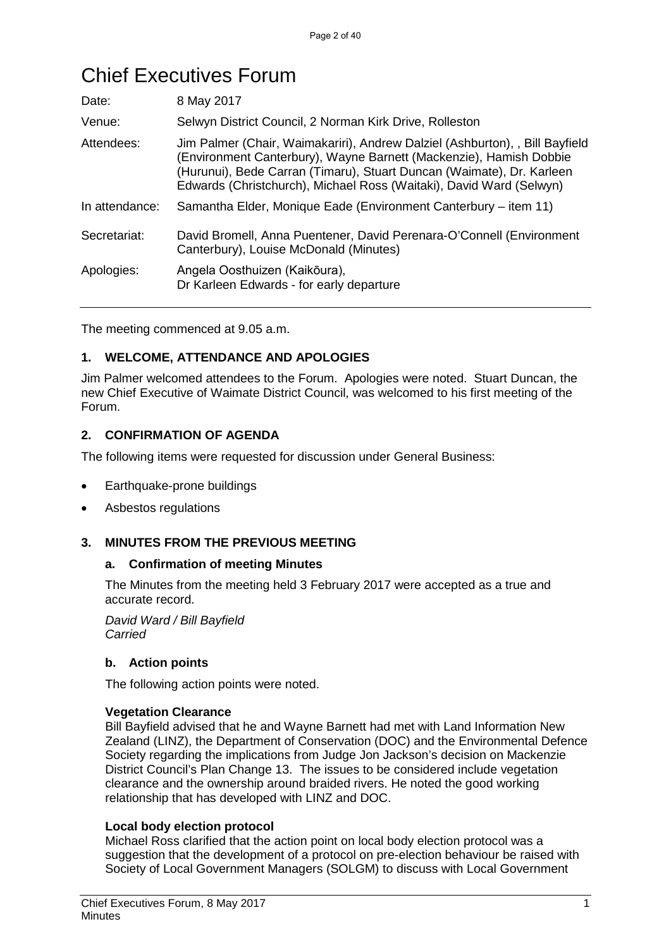# Chief Executives Forum

| 8 May 2017                                                                                                                                                                                                                                                                                         |  |
|----------------------------------------------------------------------------------------------------------------------------------------------------------------------------------------------------------------------------------------------------------------------------------------------------|--|
| Selwyn District Council, 2 Norman Kirk Drive, Rolleston                                                                                                                                                                                                                                            |  |
| Jim Palmer (Chair, Waimakariri), Andrew Dalziel (Ashburton), , Bill Bayfield<br>(Environment Canterbury), Wayne Barnett (Mackenzie), Hamish Dobbie<br>(Hurunui), Bede Carran (Timaru), Stuart Duncan (Waimate), Dr. Karleen<br>Edwards (Christchurch), Michael Ross (Waitaki), David Ward (Selwyn) |  |
| Samantha Elder, Monique Eade (Environment Canterbury – item 11)                                                                                                                                                                                                                                    |  |
| David Bromell, Anna Puentener, David Perenara-O'Connell (Environment<br>Canterbury), Louise McDonald (Minutes)                                                                                                                                                                                     |  |
| Angela Oosthuizen (Kaikōura),<br>Dr Karleen Edwards - for early departure                                                                                                                                                                                                                          |  |
|                                                                                                                                                                                                                                                                                                    |  |

The meeting commenced at 9.05 a.m.

#### **1. WELCOME, ATTENDANCE AND APOLOGIES**

Jim Palmer welcomed attendees to the Forum. Apologies were noted. Stuart Duncan, the new Chief Executive of Waimate District Council, was welcomed to his first meeting of the Forum.

#### **2. CONFIRMATION OF AGENDA**

The following items were requested for discussion under General Business:

- Earthquake-prone buildings
- Asbestos regulations

#### **3. MINUTES FROM THE PREVIOUS MEETING**

#### **a. Confirmation of meeting Minutes**

The Minutes from the meeting held 3 February 2017 were accepted as a true and accurate record.

*David Ward / Bill Bayfield Carried*

#### **b. Action points**

The following action points were noted.

#### **Vegetation Clearance**

Bill Bayfield advised that he and Wayne Barnett had met with Land Information New Zealand (LINZ), the Department of Conservation (DOC) and the Environmental Defence Society regarding the implications from Judge Jon Jackson's decision on Mackenzie District Council's Plan Change 13. The issues to be considered include vegetation clearance and the ownership around braided rivers. He noted the good working relationship that has developed with LINZ and DOC.

#### **Local body election protocol**

Michael Ross clarified that the action point on local body election protocol was a suggestion that the development of a protocol on pre-election behaviour be raised with Society of Local Government Managers (SOLGM) to discuss with Local Government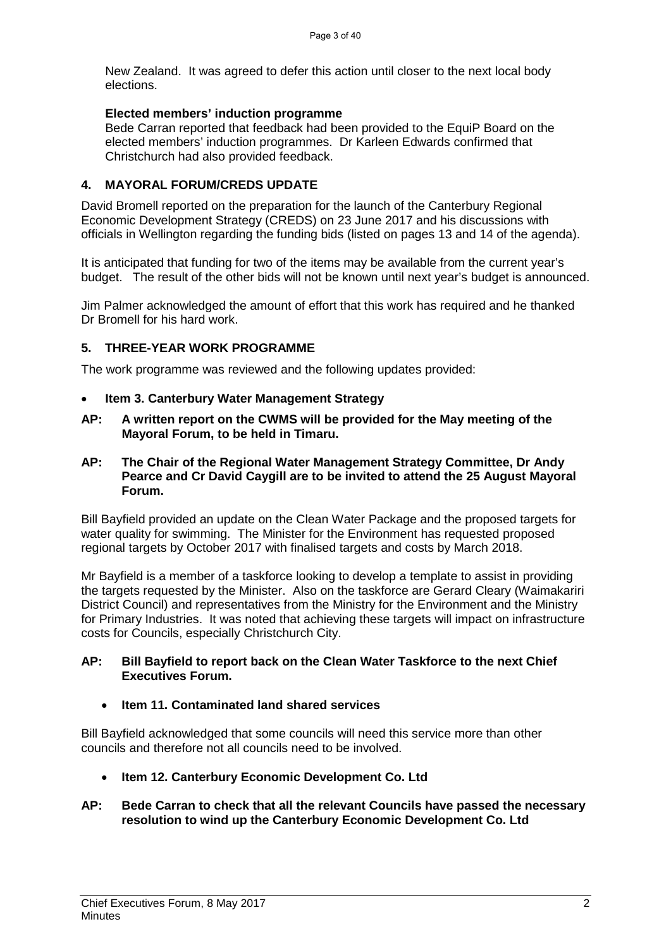New Zealand. It was agreed to defer this action until closer to the next local body elections.

#### **Elected members' induction programme**

Bede Carran reported that feedback had been provided to the EquiP Board on the elected members' induction programmes. Dr Karleen Edwards confirmed that Christchurch had also provided feedback.

#### **4. MAYORAL FORUM/CREDS UPDATE**

David Bromell reported on the preparation for the launch of the Canterbury Regional Economic Development Strategy (CREDS) on 23 June 2017 and his discussions with officials in Wellington regarding the funding bids (listed on pages 13 and 14 of the agenda).

It is anticipated that funding for two of the items may be available from the current year's budget. The result of the other bids will not be known until next year's budget is announced.

Jim Palmer acknowledged the amount of effort that this work has required and he thanked Dr Bromell for his hard work.

#### **5. THREE-YEAR WORK PROGRAMME**

The work programme was reviewed and the following updates provided:

- **Item 3. Canterbury Water Management Strategy**
- **AP: A written report on the CWMS will be provided for the May meeting of the Mayoral Forum, to be held in Timaru.**
- **AP: The Chair of the Regional Water Management Strategy Committee, Dr Andy Pearce and Cr David Caygill are to be invited to attend the 25 August Mayoral Forum.**

Bill Bayfield provided an update on the Clean Water Package and the proposed targets for water quality for swimming. The Minister for the Environment has requested proposed regional targets by October 2017 with finalised targets and costs by March 2018.

Mr Bayfield is a member of a taskforce looking to develop a template to assist in providing the targets requested by the Minister. Also on the taskforce are Gerard Cleary (Waimakariri District Council) and representatives from the Ministry for the Environment and the Ministry for Primary Industries. It was noted that achieving these targets will impact on infrastructure costs for Councils, especially Christchurch City.

#### **AP: Bill Bayfield to report back on the Clean Water Taskforce to the next Chief Executives Forum.**

#### • **Item 11. Contaminated land shared services**

Bill Bayfield acknowledged that some councils will need this service more than other councils and therefore not all councils need to be involved.

• **Item 12. Canterbury Economic Development Co. Ltd**

#### **AP: Bede Carran to check that all the relevant Councils have passed the necessary resolution to wind up the Canterbury Economic Development Co. Ltd**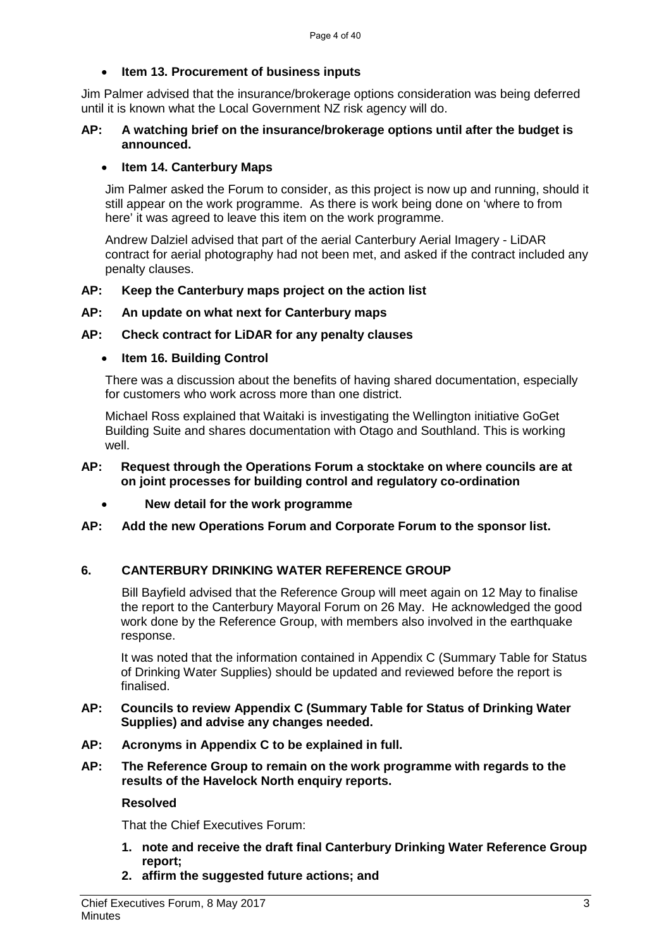#### • **Item 13. Procurement of business inputs**

Jim Palmer advised that the insurance/brokerage options consideration was being deferred until it is known what the Local Government NZ risk agency will do.

#### **AP: A watching brief on the insurance/brokerage options until after the budget is announced.**

#### • **Item 14. Canterbury Maps**

Jim Palmer asked the Forum to consider, as this project is now up and running, should it still appear on the work programme. As there is work being done on 'where to from here' it was agreed to leave this item on the work programme.

Andrew Dalziel advised that part of the aerial Canterbury Aerial Imagery - LiDAR contract for aerial photography had not been met, and asked if the contract included any penalty clauses.

#### **AP: Keep the Canterbury maps project on the action list**

#### **AP: An update on what next for Canterbury maps**

#### **AP: Check contract for LiDAR for any penalty clauses**

#### • **Item 16. Building Control**

There was a discussion about the benefits of having shared documentation, especially for customers who work across more than one district.

Michael Ross explained that Waitaki is investigating the Wellington initiative GoGet Building Suite and shares documentation with Otago and Southland. This is working well.

#### **AP: Request through the Operations Forum a stocktake on where councils are at on joint processes for building control and regulatory co-ordination**

- **New detail for the work programme**
- **AP: Add the new Operations Forum and Corporate Forum to the sponsor list.**

#### **6. CANTERBURY DRINKING WATER REFERENCE GROUP**

Bill Bayfield advised that the Reference Group will meet again on 12 May to finalise the report to the Canterbury Mayoral Forum on 26 May. He acknowledged the good work done by the Reference Group, with members also involved in the earthquake response.

It was noted that the information contained in Appendix C (Summary Table for Status of Drinking Water Supplies) should be updated and reviewed before the report is finalised.

- **AP: Councils to review Appendix C (Summary Table for Status of Drinking Water Supplies) and advise any changes needed.**
- **AP: Acronyms in Appendix C to be explained in full.**
- **AP: The Reference Group to remain on the work programme with regards to the results of the Havelock North enquiry reports.**

#### **Resolved**

That the Chief Executives Forum:

- **1. note and receive the draft final Canterbury Drinking Water Reference Group report;**
- **2. affirm the suggested future actions; and**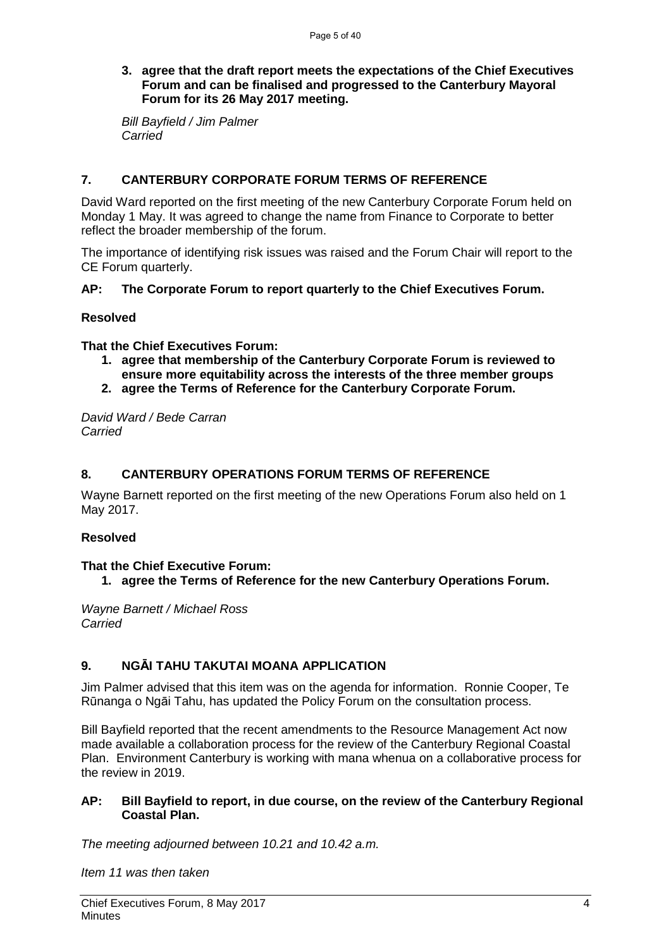#### **3. agree that the draft report meets the expectations of the Chief Executives Forum and can be finalised and progressed to the Canterbury Mayoral Forum for its 26 May 2017 meeting.**

*Bill Bayfield / Jim Palmer Carried*

#### **7. CANTERBURY CORPORATE FORUM TERMS OF REFERENCE**

David Ward reported on the first meeting of the new Canterbury Corporate Forum held on Monday 1 May. It was agreed to change the name from Finance to Corporate to better reflect the broader membership of the forum.

The importance of identifying risk issues was raised and the Forum Chair will report to the CE Forum quarterly.

#### **AP: The Corporate Forum to report quarterly to the Chief Executives Forum.**

#### **Resolved**

**That the Chief Executives Forum:**

- **1. agree that membership of the Canterbury Corporate Forum is reviewed to ensure more equitability across the interests of the three member groups**
- **2. agree the Terms of Reference for the Canterbury Corporate Forum.**

*David Ward / Bede Carran Carried*

#### **8. CANTERBURY OPERATIONS FORUM TERMS OF REFERENCE**

Wayne Barnett reported on the first meeting of the new Operations Forum also held on 1 May 2017.

#### **Resolved**

#### **That the Chief Executive Forum:**

**1. agree the Terms of Reference for the new Canterbury Operations Forum.**

*Wayne Barnett / Michael Ross Carried*

#### **9. NGĀI TAHU TAKUTAI MOANA APPLICATION**

Jim Palmer advised that this item was on the agenda for information. Ronnie Cooper, Te Rūnanga o Ngāi Tahu, has updated the Policy Forum on the consultation process.

Bill Bayfield reported that the recent amendments to the Resource Management Act now made available a collaboration process for the review of the Canterbury Regional Coastal Plan. Environment Canterbury is working with mana whenua on a collaborative process for the review in 2019.

#### **AP: Bill Bayfield to report, in due course, on the review of the Canterbury Regional Coastal Plan.**

*The meeting adjourned between 10.21 and 10.42 a.m.*

*Item 11 was then taken*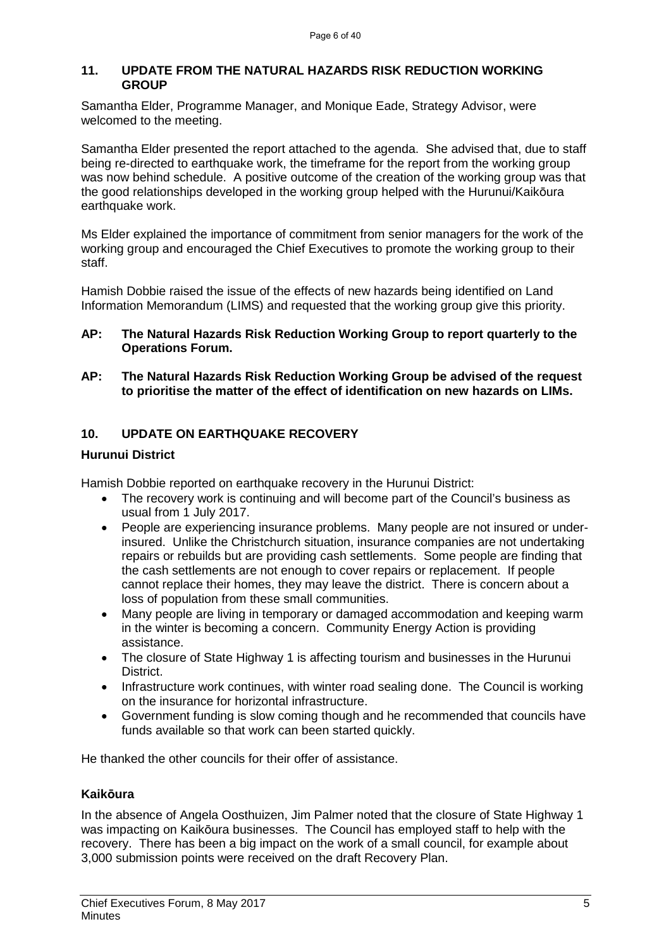#### **11. UPDATE FROM THE NATURAL HAZARDS RISK REDUCTION WORKING GROUP**

Samantha Elder, Programme Manager, and Monique Eade, Strategy Advisor, were welcomed to the meeting.

Samantha Elder presented the report attached to the agenda. She advised that, due to staff being re-directed to earthquake work, the timeframe for the report from the working group was now behind schedule. A positive outcome of the creation of the working group was that the good relationships developed in the working group helped with the Hurunui/Kaikōura earthquake work.

Ms Elder explained the importance of commitment from senior managers for the work of the working group and encouraged the Chief Executives to promote the working group to their staff.

Hamish Dobbie raised the issue of the effects of new hazards being identified on Land Information Memorandum (LIMS) and requested that the working group give this priority.

- **AP: The Natural Hazards Risk Reduction Working Group to report quarterly to the Operations Forum.**
- **AP: The Natural Hazards Risk Reduction Working Group be advised of the request to prioritise the matter of the effect of identification on new hazards on LIMs.**

#### **10. UPDATE ON EARTHQUAKE RECOVERY**

#### **Hurunui District**

Hamish Dobbie reported on earthquake recovery in the Hurunui District:

- The recovery work is continuing and will become part of the Council's business as usual from 1 July 2017.
- People are experiencing insurance problems. Many people are not insured or underinsured. Unlike the Christchurch situation, insurance companies are not undertaking repairs or rebuilds but are providing cash settlements. Some people are finding that the cash settlements are not enough to cover repairs or replacement. If people cannot replace their homes, they may leave the district. There is concern about a loss of population from these small communities.
- Many people are living in temporary or damaged accommodation and keeping warm in the winter is becoming a concern. Community Energy Action is providing assistance.
- The closure of State Highway 1 is affecting tourism and businesses in the Hurunui District.
- Infrastructure work continues, with winter road sealing done. The Council is working on the insurance for horizontal infrastructure.
- Government funding is slow coming though and he recommended that councils have funds available so that work can been started quickly.

He thanked the other councils for their offer of assistance.

#### **Kaikōura**

In the absence of Angela Oosthuizen, Jim Palmer noted that the closure of State Highway 1 was impacting on Kaikōura businesses. The Council has employed staff to help with the recovery. There has been a big impact on the work of a small council, for example about 3,000 submission points were received on the draft Recovery Plan.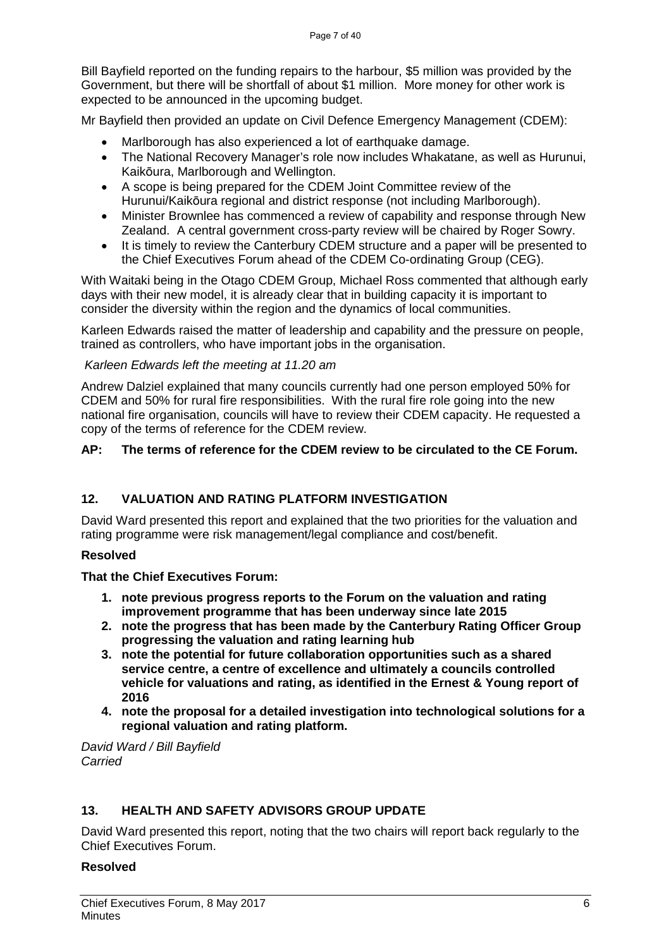Bill Bayfield reported on the funding repairs to the harbour, \$5 million was provided by the Government, but there will be shortfall of about \$1 million. More money for other work is expected to be announced in the upcoming budget.

Mr Bayfield then provided an update on Civil Defence Emergency Management (CDEM):

- Marlborough has also experienced a lot of earthquake damage.
- The National Recovery Manager's role now includes Whakatane, as well as Hurunui, Kaikōura, Marlborough and Wellington.
- A scope is being prepared for the CDEM Joint Committee review of the Hurunui/Kaikōura regional and district response (not including Marlborough).
- Minister Brownlee has commenced a review of capability and response through New Zealand. A central government cross-party review will be chaired by Roger Sowry.
- It is timely to review the Canterbury CDEM structure and a paper will be presented to the Chief Executives Forum ahead of the CDEM Co-ordinating Group (CEG).

With Waitaki being in the Otago CDEM Group, Michael Ross commented that although early days with their new model, it is already clear that in building capacity it is important to consider the diversity within the region and the dynamics of local communities.

Karleen Edwards raised the matter of leadership and capability and the pressure on people, trained as controllers, who have important jobs in the organisation.

#### *Karleen Edwards left the meeting at 11.20 am*

Andrew Dalziel explained that many councils currently had one person employed 50% for CDEM and 50% for rural fire responsibilities. With the rural fire role going into the new national fire organisation, councils will have to review their CDEM capacity. He requested a copy of the terms of reference for the CDEM review.

#### **AP: The terms of reference for the CDEM review to be circulated to the CE Forum.**

#### **12. VALUATION AND RATING PLATFORM INVESTIGATION**

David Ward presented this report and explained that the two priorities for the valuation and rating programme were risk management/legal compliance and cost/benefit.

#### **Resolved**

#### **That the Chief Executives Forum:**

- **1. note previous progress reports to the Forum on the valuation and rating improvement programme that has been underway since late 2015**
- **2. note the progress that has been made by the Canterbury Rating Officer Group progressing the valuation and rating learning hub**
- **3. note the potential for future collaboration opportunities such as a shared service centre, a centre of excellence and ultimately a councils controlled vehicle for valuations and rating, as identified in the Ernest & Young report of 2016**
- **4. note the proposal for a detailed investigation into technological solutions for a regional valuation and rating platform.**

*David Ward / Bill Bayfield Carried*

#### **13. HEALTH AND SAFETY ADVISORS GROUP UPDATE**

David Ward presented this report, noting that the two chairs will report back regularly to the Chief Executives Forum.

#### **Resolved**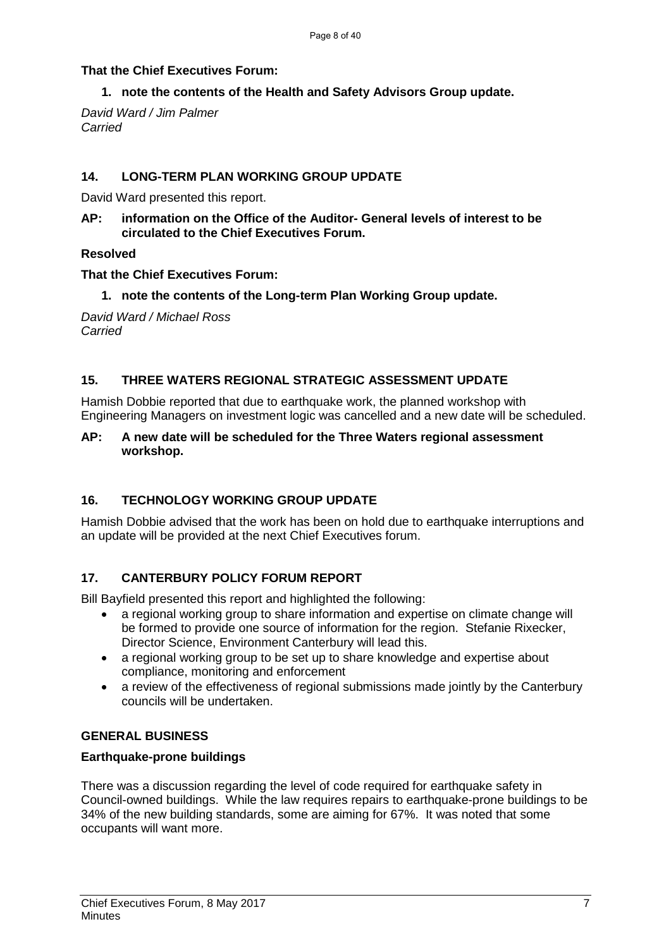#### **That the Chief Executives Forum:**

#### **1. note the contents of the Health and Safety Advisors Group update.**

*David Ward / Jim Palmer Carried*

#### **14. LONG-TERM PLAN WORKING GROUP UPDATE**

David Ward presented this report.

**AP: information on the Office of the Auditor- General levels of interest to be circulated to the Chief Executives Forum.**

#### **Resolved**

#### **That the Chief Executives Forum:**

**1. note the contents of the Long-term Plan Working Group update.**

*David Ward / Michael Ross Carried*

#### **15. THREE WATERS REGIONAL STRATEGIC ASSESSMENT UPDATE**

Hamish Dobbie reported that due to earthquake work, the planned workshop with Engineering Managers on investment logic was cancelled and a new date will be scheduled.

#### **AP: A new date will be scheduled for the Three Waters regional assessment workshop.**

### **16. TECHNOLOGY WORKING GROUP UPDATE**

Hamish Dobbie advised that the work has been on hold due to earthquake interruptions and an update will be provided at the next Chief Executives forum.

### **17. CANTERBURY POLICY FORUM REPORT**

Bill Bayfield presented this report and highlighted the following:

- a regional working group to share information and expertise on climate change will be formed to provide one source of information for the region. Stefanie Rixecker, Director Science, Environment Canterbury will lead this.
- a regional working group to be set up to share knowledge and expertise about compliance, monitoring and enforcement
- a review of the effectiveness of regional submissions made jointly by the Canterbury councils will be undertaken.

#### **GENERAL BUSINESS**

#### **Earthquake-prone buildings**

There was a discussion regarding the level of code required for earthquake safety in Council-owned buildings. While the law requires repairs to earthquake-prone buildings to be 34% of the new building standards, some are aiming for 67%. It was noted that some occupants will want more.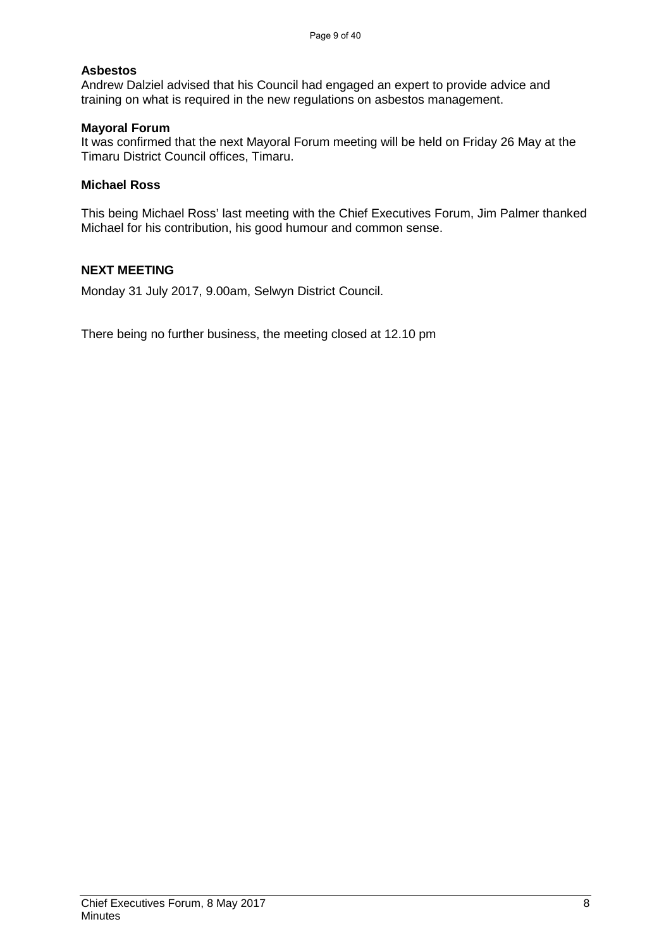#### **Asbestos**

Andrew Dalziel advised that his Council had engaged an expert to provide advice and training on what is required in the new regulations on asbestos management.

#### **Mayoral Forum**

It was confirmed that the next Mayoral Forum meeting will be held on Friday 26 May at the Timaru District Council offices, Timaru.

#### **Michael Ross**

This being Michael Ross' last meeting with the Chief Executives Forum, Jim Palmer thanked Michael for his contribution, his good humour and common sense.

#### **NEXT MEETING**

Monday 31 July 2017, 9.00am, Selwyn District Council.

There being no further business, the meeting closed at 12.10 pm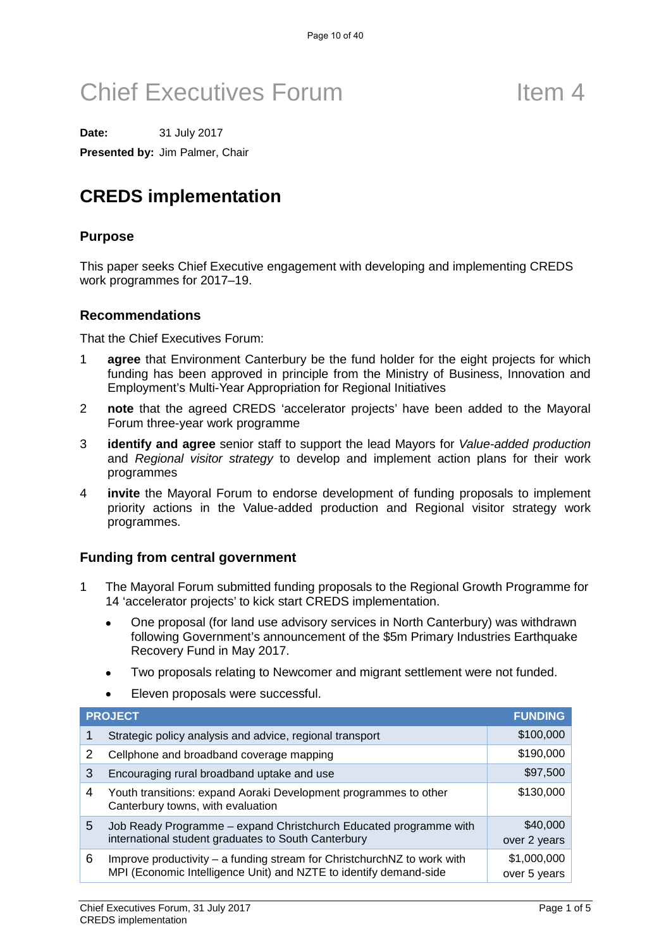**Date:** 31 July 2017

**Presented by:** Jim Palmer, Chair

## **CREDS implementation**

#### **Purpose**

This paper seeks Chief Executive engagement with developing and implementing CREDS work programmes for 2017–19.

#### **Recommendations**

That the Chief Executives Forum:

- 1 **agree** that Environment Canterbury be the fund holder for the eight projects for which funding has been approved in principle from the Ministry of Business, Innovation and Employment's Multi-Year Appropriation for Regional Initiatives
- 2 **note** that the agreed CREDS 'accelerator projects' have been added to the Mayoral Forum three-year work programme
- 3 **identify and agree** senior staff to support the lead Mayors for *Value-added production* and *Regional visitor strategy* to develop and implement action plans for their work programmes
- 4 **invite** the Mayoral Forum to endorse development of funding proposals to implement priority actions in the Value-added production and Regional visitor strategy work programmes.

#### **Funding from central government**

- 1 The Mayoral Forum submitted funding proposals to the Regional Growth Programme for 14 'accelerator projects' to kick start CREDS implementation.
	- One proposal (for land use advisory services in North Canterbury) was withdrawn following Government's announcement of the \$5m Primary Industries Earthquake Recovery Fund in May 2017.
	- Two proposals relating to Newcomer and migrant settlement were not funded.
	- Eleven proposals were successful.

|   | <b>PROJECT</b>                                                                                                           | <b>FUNDING</b>           |
|---|--------------------------------------------------------------------------------------------------------------------------|--------------------------|
|   | Strategic policy analysis and advice, regional transport                                                                 | \$100,000                |
| 2 | Cellphone and broadband coverage mapping                                                                                 | \$190,000                |
| 3 | Encouraging rural broadband uptake and use                                                                               | \$97,500                 |
| 4 | Youth transitions: expand Aoraki Development programmes to other<br>Canterbury towns, with evaluation                    | \$130,000                |
| 5 | Job Ready Programme - expand Christchurch Educated programme with<br>international student graduates to South Canterbury | \$40,000<br>over 2 years |
| 6 | Improve productivity – a funding stream for ChristchurchNZ to work with                                                  | \$1,000,000              |
|   | MPI (Economic Intelligence Unit) and NZTE to identify demand-side                                                        | over 5 years             |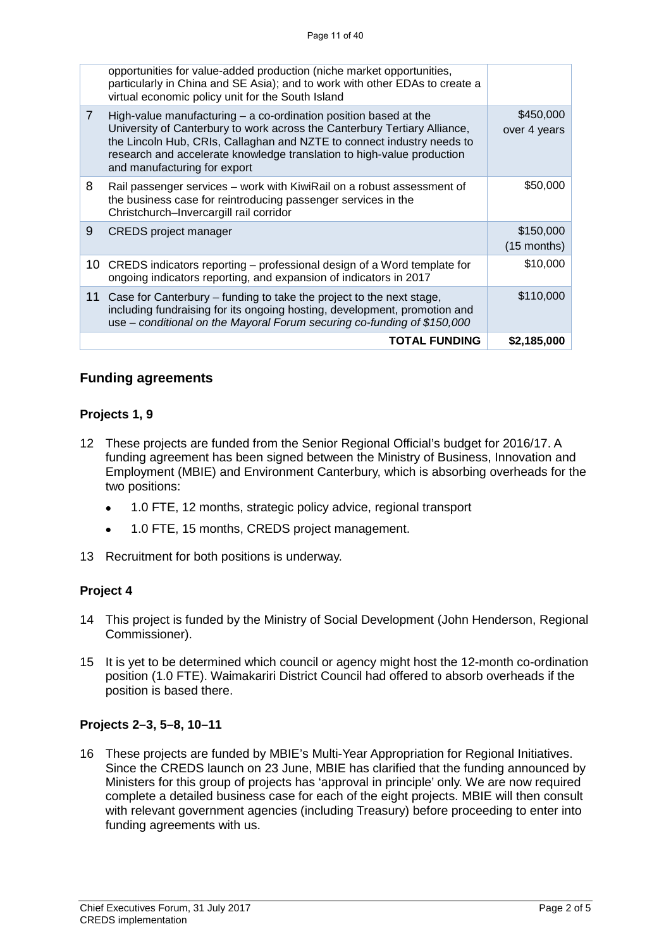#### **Funding agreements**

#### **Projects 1, 9**

- 12 These projects are funded from the Senior Regional Official's budget for 2016/17. A funding agreement has been signed between the Ministry of Business, Innovation and Employment (MBIE) and Environment Canterbury, which is absorbing overheads for the two positions:
	- 1.0 FTE, 12 months, strategic policy advice, regional transport
	- 1.0 FTE, 15 months, CREDS project management.
- 13 Recruitment for both positions is underway.

#### **Project 4**

- 14 This project is funded by the Ministry of Social Development (John Henderson, Regional Commissioner).
- 15 It is yet to be determined which council or agency might host the 12-month co-ordination position (1.0 FTE). Waimakariri District Council had offered to absorb overheads if the position is based there.

#### **Projects 2–3, 5–8, 10–11**

16 These projects are funded by MBIE's Multi-Year Appropriation for Regional Initiatives. Since the CREDS launch on 23 June, MBIE has clarified that the funding announced by Ministers for this group of projects has 'approval in principle' only. We are now required complete a detailed business case for each of the eight projects. MBIE will then consult with relevant government agencies (including Treasury) before proceeding to enter into funding agreements with us.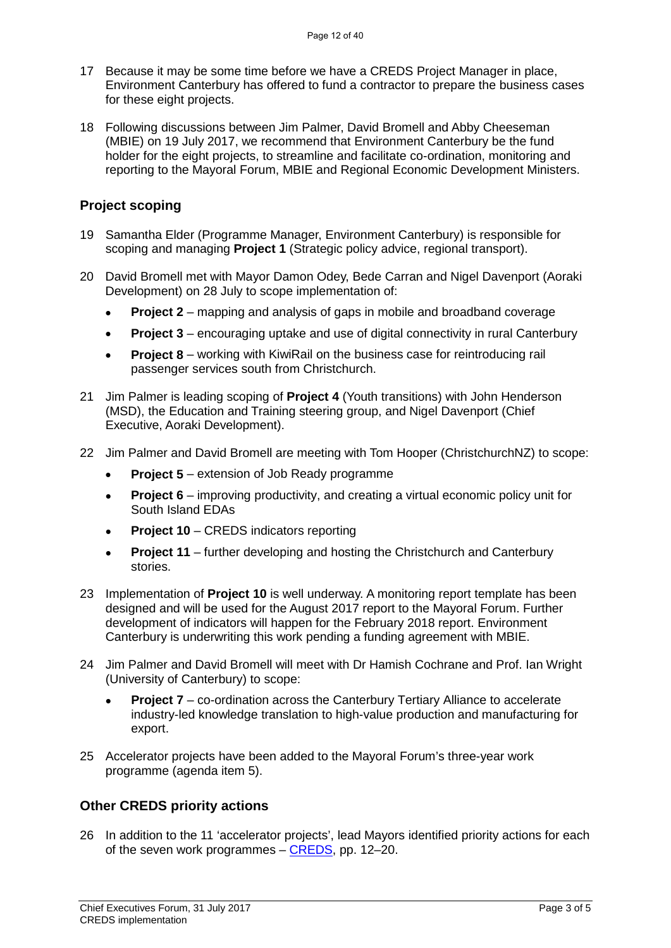- 17 Because it may be some time before we have a CREDS Project Manager in place, Environment Canterbury has offered to fund a contractor to prepare the business cases for these eight projects.
- 18 Following discussions between Jim Palmer, David Bromell and Abby Cheeseman (MBIE) on 19 July 2017, we recommend that Environment Canterbury be the fund holder for the eight projects, to streamline and facilitate co-ordination, monitoring and reporting to the Mayoral Forum, MBIE and Regional Economic Development Ministers.

#### **Project scoping**

- 19 Samantha Elder (Programme Manager, Environment Canterbury) is responsible for scoping and managing **Project 1** (Strategic policy advice, regional transport).
- 20 David Bromell met with Mayor Damon Odey, Bede Carran and Nigel Davenport (Aoraki Development) on 28 July to scope implementation of:
	- **Project 2** mapping and analysis of gaps in mobile and broadband coverage
	- **Project 3** encouraging uptake and use of digital connectivity in rural Canterbury
	- **Project 8** working with KiwiRail on the business case for reintroducing rail passenger services south from Christchurch.
- 21 Jim Palmer is leading scoping of **Project 4** (Youth transitions) with John Henderson (MSD), the Education and Training steering group, and Nigel Davenport (Chief Executive, Aoraki Development).
- 22 Jim Palmer and David Bromell are meeting with Tom Hooper (ChristchurchNZ) to scope:
	- **Project 5** extension of Job Ready programme
	- **Project 6** improving productivity, and creating a virtual economic policy unit for South Island EDAs
	- **Project 10** CREDS indicators reporting
	- **Project 11** further developing and hosting the Christchurch and Canterbury stories.
- 23 Implementation of **Project 10** is well underway. A monitoring report template has been designed and will be used for the August 2017 report to the Mayoral Forum. Further development of indicators will happen for the February 2018 report. Environment Canterbury is underwriting this work pending a funding agreement with MBIE.
- 24 Jim Palmer and David Bromell will meet with Dr Hamish Cochrane and Prof. Ian Wright (University of Canterbury) to scope:
	- **Project 7** co-ordination across the Canterbury Tertiary Alliance to accelerate industry-led knowledge translation to high-value production and manufacturing for export.
- 25 Accelerator projects have been added to the Mayoral Forum's three-year work programme (agenda item 5).

### **Other CREDS priority actions**

26 In addition to the 11 'accelerator projects', lead Mayors identified priority actions for each of the seven work programmes – [CREDS,](http://canterburymayors.org.nz/wp-content/uploads/2017/06/CREDS-2017_FINAL.pdf) pp. 12–20.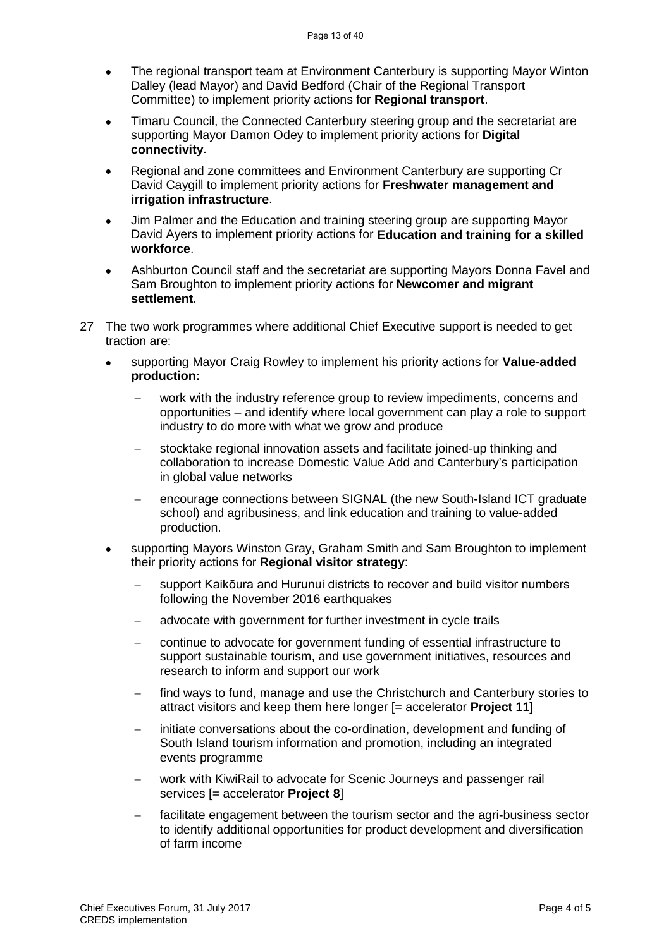- The regional transport team at Environment Canterbury is supporting Mayor Winton Dalley (lead Mayor) and David Bedford (Chair of the Regional Transport Committee) to implement priority actions for **Regional transport**.
- Timaru Council, the Connected Canterbury steering group and the secretariat are supporting Mayor Damon Odey to implement priority actions for **Digital connectivity**.
- Regional and zone committees and Environment Canterbury are supporting Cr David Caygill to implement priority actions for **Freshwater management and irrigation infrastructure**.
- Jim Palmer and the Education and training steering group are supporting Mayor David Ayers to implement priority actions for **Education and training for a skilled workforce**.
- Ashburton Council staff and the secretariat are supporting Mayors Donna Favel and Sam Broughton to implement priority actions for **Newcomer and migrant settlement**.
- 27 The two work programmes where additional Chief Executive support is needed to get traction are:
	- supporting Mayor Craig Rowley to implement his priority actions for **Value-added production:**
		- work with the industry reference group to review impediments, concerns and opportunities – and identify where local government can play a role to support industry to do more with what we grow and produce
		- − stocktake regional innovation assets and facilitate joined-up thinking and collaboration to increase Domestic Value Add and Canterbury's participation in global value networks
		- encourage connections between SIGNAL (the new South-Island ICT graduate school) and agribusiness, and link education and training to value-added production.
	- supporting Mayors Winston Gray, Graham Smith and Sam Broughton to implement their priority actions for **Regional visitor strategy**:
		- support Kaikōura and Hurunui districts to recover and build visitor numbers following the November 2016 earthquakes
		- advocate with government for further investment in cycle trails
		- − continue to advocate for government funding of essential infrastructure to support sustainable tourism, and use government initiatives, resources and research to inform and support our work
		- find ways to fund, manage and use the Christchurch and Canterbury stories to attract visitors and keep them here longer [= accelerator **Project 11**]
		- initiate conversations about the co-ordination, development and funding of South Island tourism information and promotion, including an integrated events programme
		- work with KiwiRail to advocate for Scenic Journeys and passenger rail services [= accelerator **Project 8**]
		- facilitate engagement between the tourism sector and the agri-business sector to identify additional opportunities for product development and diversification of farm income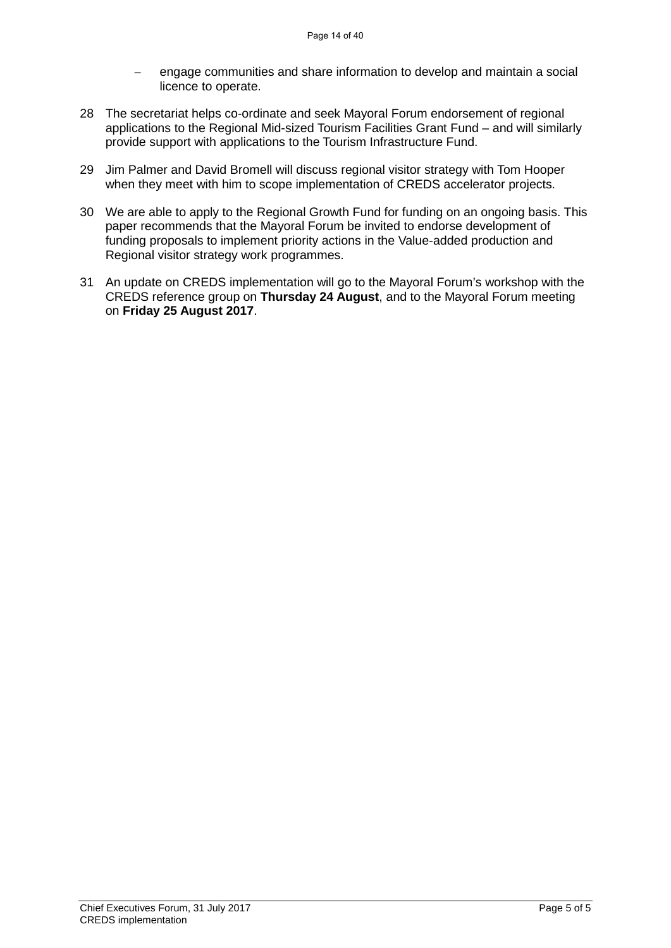- engage communities and share information to develop and maintain a social licence to operate.
- 28 The secretariat helps co-ordinate and seek Mayoral Forum endorsement of regional applications to the Regional Mid-sized Tourism Facilities Grant Fund – and will similarly provide support with applications to the Tourism Infrastructure Fund.
- 29 Jim Palmer and David Bromell will discuss regional visitor strategy with Tom Hooper when they meet with him to scope implementation of CREDS accelerator projects.
- 30 We are able to apply to the Regional Growth Fund for funding on an ongoing basis. This paper recommends that the Mayoral Forum be invited to endorse development of funding proposals to implement priority actions in the Value-added production and Regional visitor strategy work programmes.
- 31 An update on CREDS implementation will go to the Mayoral Forum's workshop with the CREDS reference group on **Thursday 24 August**, and to the Mayoral Forum meeting on **Friday 25 August 2017**.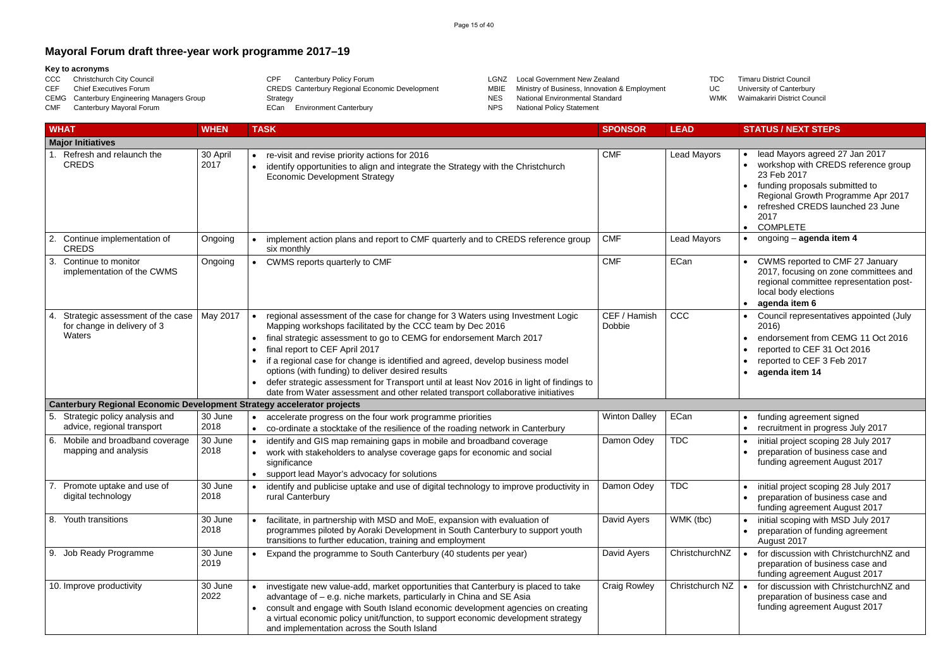### **Mayoral Forum draft three-year work programme 2017–19**

#### **Key to acronyms**

CCC Christchurch City Council<br>CEF Chief Executives Forum Chief Executives Forum CEMG Canterbury Engineering Managers Group CMF Canterbury Mayoral Forum CPF Canterbury Policy Forum CREDS Canterbury Regional Economic Development Strategy ECan Environment Canterbury LGNZ Local Government New Zealand MBIE Ministry of Business, Innovation & Employment NES National Environmental Standard<br>NPS National Policy Statement National Policy Statement

TDC Timaru District Council<br>UC University of Canterbur University of Canterbury WMK Waimakariri District Council

### $\mathsf{r}_\mathsf{S}$  | • lead Mayors agreed 27 Jan 2017 • workshop with CREDS reference group 23 Feb 2017 • funding proposals submitted to Regional Growth Programme Apr 2017 • refreshed CREDS launched 23 June 2017 • COMPLETE  $\mathsf{c}_\mathsf{S}$  **e** ongoing – **agenda item 4** • CWMS reported to CMF 27 January 2017, focusing on zone committees and regional committee representation postlocal body elections • **agenda item 6** • Council representatives appointed (July 2016) • endorsement from CEMG 11 Oct 2016 • reported to CEF 31 Oct 2016 • reported to CEF 3 Feb 2017 • **agenda item 14** • funding agreement signed • recruitment in progress July 2017 • initial project scoping 28 July 2017 • preparation of business case and funding agreement August 2017 • initial project scoping 28 July 2017 • preparation of business case and funding agreement August 2017  $\bullet$  initial scoping with MSD July 2017 • preparation of funding agreement August 2017  $n$ NZ  $\parallel \bullet$  for discussion with ChristchurchNZ and preparation of business case and funding agreement August 2017  $\overline{C}$  NZ  $\overline{C}$  • for discussion with ChristchurchNZ and preparation of business case and funding agreement August 2017

|    | <b>WHAT</b>                                                                   | <b>WHEN</b>      | <b>TASK</b>                                                                                                                                                                                                                                                                                                                                                                                                                                                                                                                                                                 | <b>SPONSOR</b>         | <b>LEAD</b>        | <b>STATUS / NEXT STEPS</b>                                                                                                                                    |
|----|-------------------------------------------------------------------------------|------------------|-----------------------------------------------------------------------------------------------------------------------------------------------------------------------------------------------------------------------------------------------------------------------------------------------------------------------------------------------------------------------------------------------------------------------------------------------------------------------------------------------------------------------------------------------------------------------------|------------------------|--------------------|---------------------------------------------------------------------------------------------------------------------------------------------------------------|
|    | <b>Major Initiatives</b>                                                      |                  |                                                                                                                                                                                                                                                                                                                                                                                                                                                                                                                                                                             |                        |                    |                                                                                                                                                               |
|    | Refresh and relaunch the<br><b>CREDS</b>                                      | 30 April<br>2017 | re-visit and revise priority actions for 2016<br>$\bullet$<br>identify opportunities to align and integrate the Strategy with the Christchurch<br><b>Economic Development Strategy</b>                                                                                                                                                                                                                                                                                                                                                                                      | <b>CMF</b>             | Lead Mayors        | lead Mayors agreed 2<br>workshop with CRED<br>23 Feb 2017<br>funding proposals sul<br><b>Regional Growth Pro</b><br>refreshed CREDS lat<br>2017<br>• COMPLETE |
| 2. | Continue implementation of<br><b>CREDS</b>                                    | Ongoing          | implement action plans and report to CMF quarterly and to CREDS reference group<br>six monthly                                                                                                                                                                                                                                                                                                                                                                                                                                                                              | <b>CMF</b>             | <b>Lead Mayors</b> | ongoing - agenda ite                                                                                                                                          |
| 3. | Continue to monitor<br>implementation of the CWMS                             | Ongoing          | CWMS reports quarterly to CMF                                                                                                                                                                                                                                                                                                                                                                                                                                                                                                                                               | <b>CMF</b>             | ECan               | CWMS reported to C<br>2017, focusing on zo<br>regional committee re<br>local body elections<br>agenda item 6                                                  |
| 4. | Strategic assessment of the case<br>for change in delivery of 3<br>Waters     | May 2017         | regional assessment of the case for change for 3 Waters using Investment Logic<br>Mapping workshops facilitated by the CCC team by Dec 2016<br>final strategic assessment to go to CEMG for endorsement March 2017<br>final report to CEF April 2017<br>if a regional case for change is identified and agreed, develop business model<br>options (with funding) to deliver desired results<br>defer strategic assessment for Transport until at least Nov 2016 in light of findings to<br>date from Water assessment and other related transport collaborative initiatives | CEF / Hamish<br>Dobbie | CCC                | Council representativ<br>2016)<br>endorsement from CI<br>reported to CEF 31 C<br>reported to CEF 3 Fe<br>agenda item 14                                       |
|    | <b>Canterbury Regional Economic Development Strategy accelerator projects</b> |                  |                                                                                                                                                                                                                                                                                                                                                                                                                                                                                                                                                                             |                        |                    |                                                                                                                                                               |
| 5. | Strategic policy analysis and<br>advice, regional transport                   | 30 June<br>2018  | accelerate progress on the four work programme priorities<br>co-ordinate a stocktake of the resilience of the roading network in Canterbury                                                                                                                                                                                                                                                                                                                                                                                                                                 | <b>Winton Dalley</b>   | ECan               | funding agreement si<br>recruitment in progres                                                                                                                |
| 6. | Mobile and broadband coverage<br>mapping and analysis                         | 30 June<br>2018  | identify and GIS map remaining gaps in mobile and broadband coverage<br>work with stakeholders to analyse coverage gaps for economic and social<br>significance<br>support lead Mayor's advocacy for solutions                                                                                                                                                                                                                                                                                                                                                              | Damon Odey             | <b>TDC</b>         | initial project scoping<br>preparation of busine<br>funding agreement A                                                                                       |
|    | Promote uptake and use of<br>digital technology                               | 30 June<br>2018  | identify and publicise uptake and use of digital technology to improve productivity in<br>$\bullet$<br>rural Canterbury                                                                                                                                                                                                                                                                                                                                                                                                                                                     | Damon Odey             | <b>TDC</b>         | initial project scoping<br>preparation of busine<br>funding agreement A                                                                                       |
|    | 8. Youth transitions                                                          | 30 June<br>2018  | facilitate, in partnership with MSD and MoE, expansion with evaluation of<br>programmes piloted by Aoraki Development in South Canterbury to support youth<br>transitions to further education, training and employment                                                                                                                                                                                                                                                                                                                                                     | David Ayers            | WMK (tbc)          | initial scoping with M<br>preparation of funding<br>August 2017                                                                                               |
| 9. | Job Ready Programme                                                           | 30 June<br>2019  | Expand the programme to South Canterbury (40 students per year)                                                                                                                                                                                                                                                                                                                                                                                                                                                                                                             | David Ayers            | ChristchurchNZ     | for discussion with CI<br>preparation of busine<br>funding agreement A                                                                                        |
|    | 10. Improve productivity                                                      | 30 June<br>2022  | investigate new value-add, market opportunities that Canterbury is placed to take<br>advantage of – e.g. niche markets, particularly in China and SE Asia<br>consult and engage with South Island economic development agencies on creating<br>a virtual economic policy unit/function, to support economic development strategy<br>and implementation across the South Island                                                                                                                                                                                              | <b>Craig Rowley</b>    | Christchurch NZ    | for discussion with CI<br>preparation of busine<br>funding agreement A                                                                                        |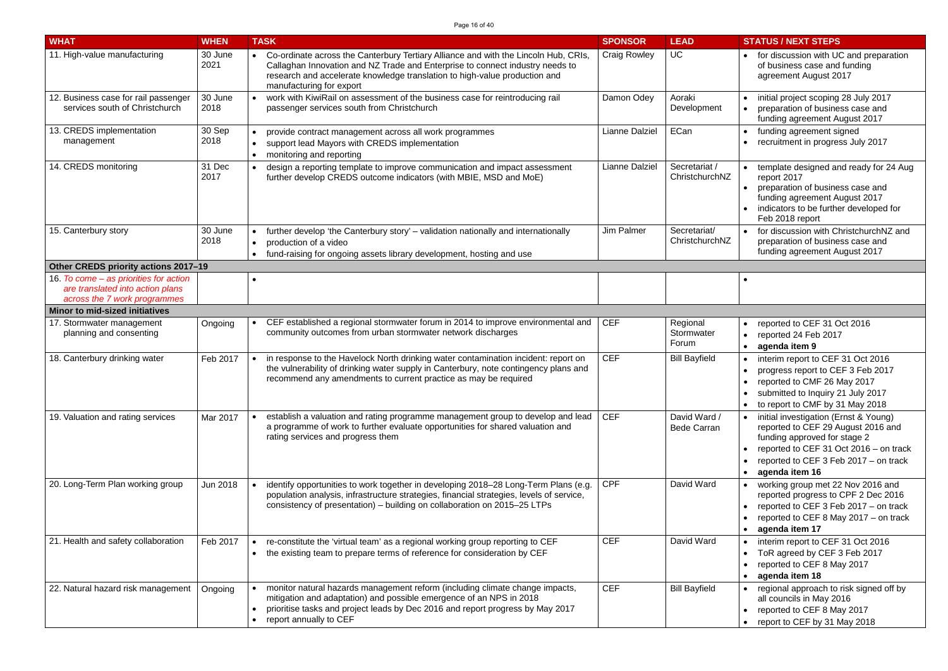| <b>WHAT</b>                                                                                                | <b>WHEN</b>     | <b>TASK</b>                                                                                                                                                                                                                                                                    | <b>SPONSOR</b>        | <b>LEAD</b>                        | <b>STATUS / NEXT STEPS</b>                                                                                                                                                                                       |
|------------------------------------------------------------------------------------------------------------|-----------------|--------------------------------------------------------------------------------------------------------------------------------------------------------------------------------------------------------------------------------------------------------------------------------|-----------------------|------------------------------------|------------------------------------------------------------------------------------------------------------------------------------------------------------------------------------------------------------------|
| 11. High-value manufacturing                                                                               | 30 June<br>2021 | Co-ordinate across the Canterbury Tertiary Alliance and with the Lincoln Hub, CRIs,<br>Callaghan Innovation and NZ Trade and Enterprise to connect industry needs to<br>research and accelerate knowledge translation to high-value production and<br>manufacturing for export | <b>Craig Rowley</b>   | <b>UC</b>                          | for discussion with UC and preparation<br>of business case and funding<br>agreement August 2017                                                                                                                  |
| 12. Business case for rail passenger<br>services south of Christchurch                                     | 30 June<br>2018 | work with KiwiRail on assessment of the business case for reintroducing rail<br>passenger services south from Christchurch                                                                                                                                                     | Damon Odey            | Aoraki<br>Development              | initial project scoping 28 July 2017<br>preparation of business case and<br>funding agreement August 2017                                                                                                        |
| 13. CREDS implementation<br>management                                                                     | 30 Sep<br>2018  | provide contract management across all work programmes<br>support lead Mayors with CREDS implementation<br>monitoring and reporting                                                                                                                                            | <b>Lianne Dalziel</b> | ECan                               | funding agreement signed<br>recruitment in progress July 2017                                                                                                                                                    |
| 14. CREDS monitoring                                                                                       | 31 Dec<br>2017  | design a reporting template to improve communication and impact assessment<br>further develop CREDS outcome indicators (with MBIE, MSD and MoE)                                                                                                                                | <b>Lianne Dalziel</b> | Secretariat /<br>ChristchurchNZ    | template designed and ready for 24 Aug<br>report 2017<br>preparation of business case and<br>funding agreement August 2017<br>indicators to be further developed for<br>Feb 2018 report                          |
| 15. Canterbury story                                                                                       | 30 June<br>2018 | further develop 'the Canterbury story' - validation nationally and internationally<br>production of a video<br>fund-raising for ongoing assets library development, hosting and use                                                                                            | Jim Palmer            | Secretariat/<br>ChristchurchNZ     | for discussion with ChristchurchNZ and<br>preparation of business case and<br>funding agreement August 2017                                                                                                      |
| Other CREDS priority actions 2017-19                                                                       |                 |                                                                                                                                                                                                                                                                                |                       |                                    |                                                                                                                                                                                                                  |
| 16. To come – as priorities for action<br>are translated into action plans<br>across the 7 work programmes |                 |                                                                                                                                                                                                                                                                                |                       |                                    |                                                                                                                                                                                                                  |
| <b>Minor to mid-sized initiatives</b>                                                                      |                 |                                                                                                                                                                                                                                                                                |                       |                                    |                                                                                                                                                                                                                  |
| 17. Stormwater management<br>planning and consenting                                                       | Ongoing         | CEF established a regional stormwater forum in 2014 to improve environmental and<br>community outcomes from urban stormwater network discharges                                                                                                                                | <b>CEF</b>            | Regional<br>Stormwater<br>Forum    | reported to CEF 31 Oct 2016<br>reported 24 Feb 2017<br>agenda item 9                                                                                                                                             |
| 18. Canterbury drinking water                                                                              | Feb 2017        | in response to the Havelock North drinking water contamination incident: report on<br>the vulnerability of drinking water supply in Canterbury, note contingency plans and<br>recommend any amendments to current practice as may be required                                  | <b>CEF</b>            | <b>Bill Bayfield</b>               | interim report to CEF 31 Oct 2016<br>progress report to CEF 3 Feb 2017<br>reported to CMF 26 May 2017<br>submitted to Inquiry 21 July 2017<br>to report to CMF by 31 May 2018                                    |
| 19. Valuation and rating services                                                                          | Mar 2017        | establish a valuation and rating programme management group to develop and lead<br>a programme of work to further evaluate opportunities for shared valuation and<br>rating services and progress them                                                                         | <b>CEF</b>            | David Ward /<br><b>Bede Carran</b> | initial investigation (Ernst & Young)<br>reported to CEF 29 August 2016 and<br>funding approved for stage 2<br>reported to CEF 31 Oct 2016 - on track<br>reported to CEF 3 Feb 2017 - on track<br>agenda item 16 |
| 20. Long-Term Plan working group                                                                           | Jun 2018        | identify opportunities to work together in developing 2018-28 Long-Term Plans (e.g.<br>population analysis, infrastructure strategies, financial strategies, levels of service,<br>consistency of presentation) – building on collaboration on 2015–25 LTPs                    | <b>CPF</b>            | David Ward                         | working group met 22 Nov 2016 and<br>reported progress to CPF 2 Dec 2016<br>reported to CEF 3 Feb 2017 - on track<br>reported to CEF 8 May 2017 - on track<br>agenda item 17                                     |
| 21. Health and safety collaboration                                                                        | Feb 2017        | re-constitute the 'virtual team' as a regional working group reporting to CEF<br>the existing team to prepare terms of reference for consideration by CEF                                                                                                                      | <b>CEF</b>            | David Ward                         | interim report to CEF 31 Oct 2016<br>ToR agreed by CEF 3 Feb 2017<br>reported to CEF 8 May 2017<br>agenda item 18                                                                                                |
| 22. Natural hazard risk management                                                                         | Ongoing         | monitor natural hazards management reform (including climate change impacts,<br>mitigation and adaptation) and possible emergence of an NPS in 2018<br>prioritise tasks and project leads by Dec 2016 and report progress by May 2017<br>report annually to CEF                | <b>CEF</b>            | <b>Bill Bayfield</b>               | regional approach to risk signed off by<br>all councils in May 2016<br>reported to CEF 8 May 2017<br>report to CEF by 31 May 2018                                                                                |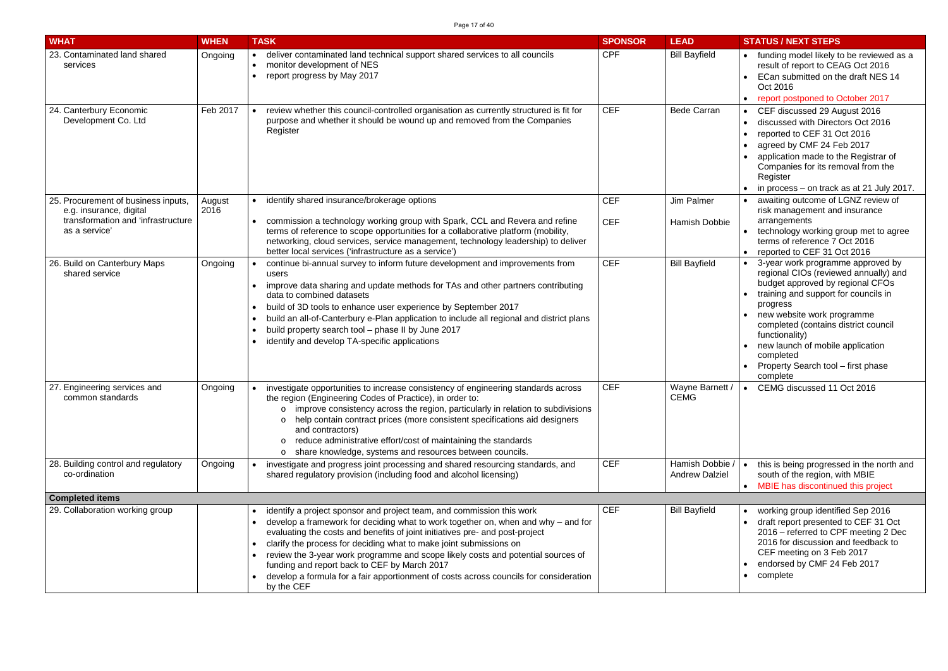| <b>WHAT</b>                                                                                                           | <b>WHEN</b>    | <b>TASK</b>                                                                                                                                                                                                                                                                                                                                                                                                                                                                                                                                                   | <b>SPONSOR</b>           | <b>LEAD</b>                              | <b>STATUS / NEXT STEPS</b>                                                                                                                                                                                                                                                                                                                                    |
|-----------------------------------------------------------------------------------------------------------------------|----------------|---------------------------------------------------------------------------------------------------------------------------------------------------------------------------------------------------------------------------------------------------------------------------------------------------------------------------------------------------------------------------------------------------------------------------------------------------------------------------------------------------------------------------------------------------------------|--------------------------|------------------------------------------|---------------------------------------------------------------------------------------------------------------------------------------------------------------------------------------------------------------------------------------------------------------------------------------------------------------------------------------------------------------|
| 23. Contaminated land shared<br>services                                                                              | Ongoing        | deliver contaminated land technical support shared services to all councils<br>monitor development of NES<br>$\bullet$<br>report progress by May 2017                                                                                                                                                                                                                                                                                                                                                                                                         | <b>CPF</b>               | <b>Bill Bayfield</b>                     | funding model likely to be reviewed as a<br>result of report to CEAG Oct 2016<br>ECan submitted on the draft NES 14<br>Oct 2016<br>report postponed to October 2017                                                                                                                                                                                           |
| 24. Canterbury Economic<br>Development Co. Ltd                                                                        | Feb 2017       | review whether this council-controlled organisation as currently structured is fit for<br>purpose and whether it should be wound up and removed from the Companies<br>Register                                                                                                                                                                                                                                                                                                                                                                                | <b>CEF</b>               | <b>Bede Carran</b>                       | CEF discussed 29 August 2016<br>discussed with Directors Oct 2016<br>reported to CEF 31 Oct 2016<br>agreed by CMF 24 Feb 2017<br>application made to the Registrar of<br>Companies for its removal from the<br>Register<br>in process – on track as at 21 July 2017.                                                                                          |
| 25. Procurement of business inputs,<br>e.g. insurance, digital<br>transformation and 'infrastructure<br>as a service' | August<br>2016 | identify shared insurance/brokerage options<br>commission a technology working group with Spark, CCL and Revera and refine<br>terms of reference to scope opportunities for a collaborative platform (mobility,<br>networking, cloud services, service management, technology leadership) to deliver<br>better local services ('infrastructure as a service')                                                                                                                                                                                                 | <b>CEF</b><br><b>CEF</b> | <b>Jim Palmer</b><br>Hamish Dobbie       | awaiting outcome of LGNZ review of<br>risk management and insurance<br>arrangements<br>technology working group met to agree<br>terms of reference 7 Oct 2016<br>reported to CEF 31 Oct 2016                                                                                                                                                                  |
| 26. Build on Canterbury Maps<br>shared service                                                                        | Ongoing        | continue bi-annual survey to inform future development and improvements from<br>users<br>improve data sharing and update methods for TAs and other partners contributing<br>data to combined datasets<br>build of 3D tools to enhance user experience by September 2017<br>build an all-of-Canterbury e-Plan application to include all regional and district plans<br>build property search tool - phase II by June 2017<br>identify and develop TA-specific applications                                                                                    | <b>CEF</b>               | <b>Bill Bayfield</b>                     | 3-year work programme approved by<br>regional CIOs (reviewed annually) and<br>budget approved by regional CFOs<br>training and support for councils in<br>progress<br>new website work programme<br>completed (contains district council<br>functionality)<br>new launch of mobile application<br>completed<br>Property Search tool - first phase<br>complete |
| 27. Engineering services and<br>common standards                                                                      | Ongoing        | investigate opportunities to increase consistency of engineering standards across<br>$\bullet$<br>the region (Engineering Codes of Practice), in order to:<br>o improve consistency across the region, particularly in relation to subdivisions<br>help contain contract prices (more consistent specifications aid designers<br>$\circ$<br>and contractors)<br>reduce administrative effort/cost of maintaining the standards<br>$\circ$<br>share knowledge, systems and resources between councils.<br>$\circ$                                              | <b>CEF</b>               | Wayne Barnett /<br><b>CEMG</b>           | CEMG discussed 11 Oct 2016                                                                                                                                                                                                                                                                                                                                    |
| 28. Building control and regulatory<br>co-ordination                                                                  | Ongoing        | investigate and progress joint processing and shared resourcing standards, and<br>shared regulatory provision (including food and alcohol licensing)                                                                                                                                                                                                                                                                                                                                                                                                          | <b>CEF</b>               | Hamish Dobbie /<br><b>Andrew Dalziel</b> | this is being progressed in the north and<br>south of the region, with MBIE<br>• MBIE has discontinued this project                                                                                                                                                                                                                                           |
| <b>Completed items</b>                                                                                                |                |                                                                                                                                                                                                                                                                                                                                                                                                                                                                                                                                                               |                          |                                          |                                                                                                                                                                                                                                                                                                                                                               |
| 29. Collaboration working group                                                                                       |                | identify a project sponsor and project team, and commission this work<br>develop a framework for deciding what to work together on, when and why $-$ and for<br>evaluating the costs and benefits of joint initiatives pre- and post-project<br>clarify the process for deciding what to make joint submissions on<br>review the 3-year work programme and scope likely costs and potential sources of<br>funding and report back to CEF by March 2017<br>develop a formula for a fair apportionment of costs across councils for consideration<br>by the CEF | <b>CEF</b>               | <b>Bill Bayfield</b>                     | working group identified Sep 2016<br>draft report presented to CEF 31 Oct<br>2016 - referred to CPF meeting 2 Dec<br>2016 for discussion and feedback to<br>CEF meeting on 3 Feb 2017<br>endorsed by CMF 24 Feb 2017<br>complete                                                                                                                              |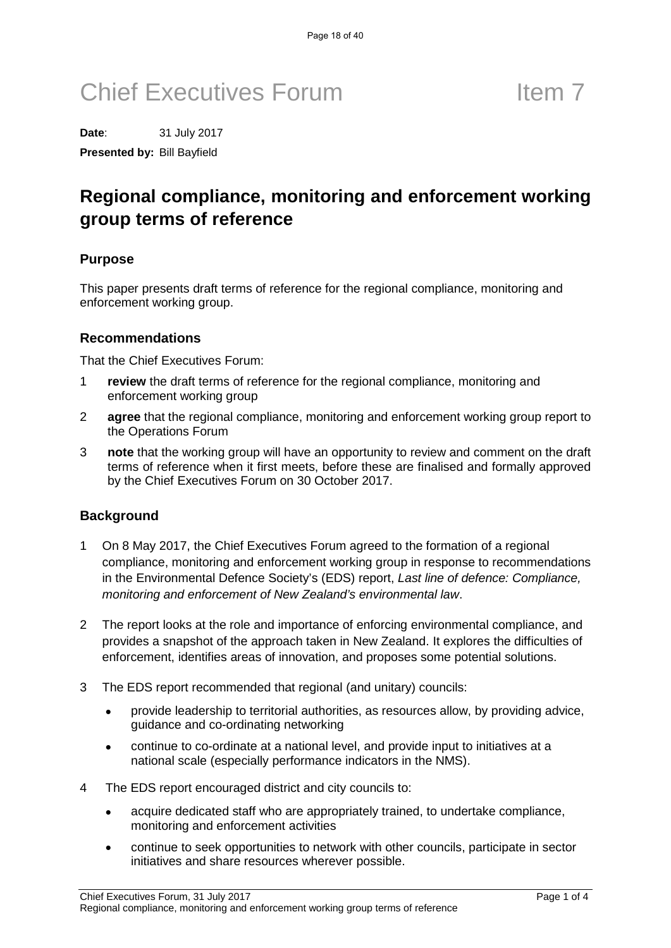**Date**: 31 July 2017 **Presented by:** Bill Bayfield

## **Regional compliance, monitoring and enforcement working group terms of reference**

#### **Purpose**

This paper presents draft terms of reference for the regional compliance, monitoring and enforcement working group.

#### **Recommendations**

That the Chief Executives Forum:

- 1 **review** the draft terms of reference for the regional compliance, monitoring and enforcement working group
- 2 **agree** that the regional compliance, monitoring and enforcement working group report to the Operations Forum
- 3 **note** that the working group will have an opportunity to review and comment on the draft terms of reference when it first meets, before these are finalised and formally approved by the Chief Executives Forum on 30 October 2017.

#### **Background**

- 1 On 8 May 2017, the Chief Executives Forum agreed to the formation of a regional compliance, monitoring and enforcement working group in response to recommendations in the Environmental Defence Society's (EDS) report, *Last line of defence: Compliance, monitoring and enforcement of New Zealand's environmental law*.
- 2 The report looks at the role and importance of enforcing environmental compliance, and provides a snapshot of the approach taken in New Zealand. It explores the difficulties of enforcement, identifies areas of innovation, and proposes some potential solutions.
- 3 The EDS report recommended that regional (and unitary) councils:
	- provide leadership to territorial authorities, as resources allow, by providing advice, guidance and co-ordinating networking
	- continue to co-ordinate at a national level, and provide input to initiatives at a national scale (especially performance indicators in the NMS).
- 4 The EDS report encouraged district and city councils to:
	- acquire dedicated staff who are appropriately trained, to undertake compliance, monitoring and enforcement activities
	- continue to seek opportunities to network with other councils, participate in sector initiatives and share resources wherever possible.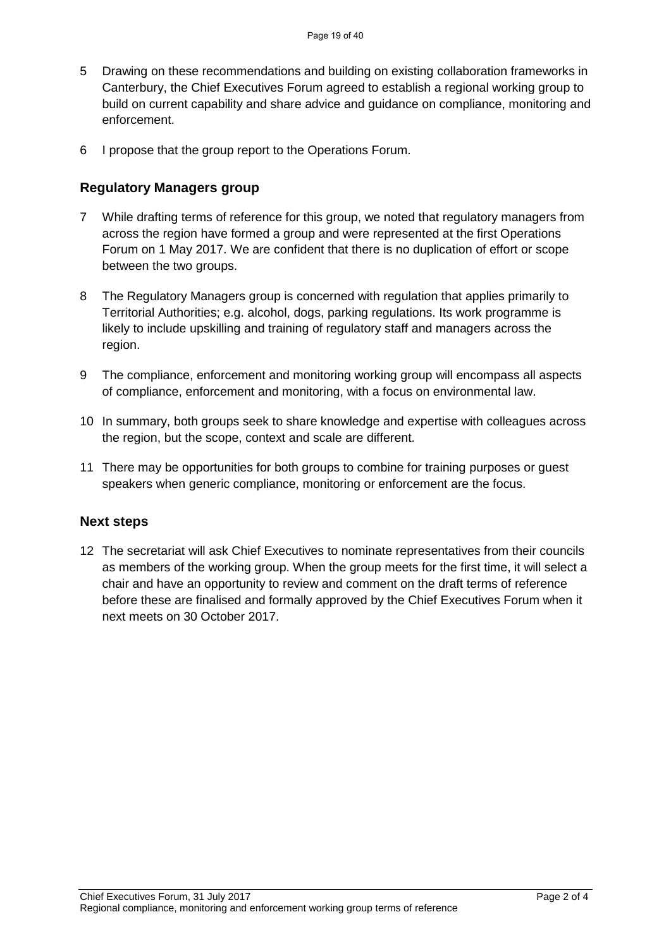- 5 Drawing on these recommendations and building on existing collaboration frameworks in Canterbury, the Chief Executives Forum agreed to establish a regional working group to build on current capability and share advice and guidance on compliance, monitoring and enforcement.
- 6 I propose that the group report to the Operations Forum.

#### **Regulatory Managers group**

- 7 While drafting terms of reference for this group, we noted that regulatory managers from across the region have formed a group and were represented at the first Operations Forum on 1 May 2017. We are confident that there is no duplication of effort or scope between the two groups.
- 8 The Regulatory Managers group is concerned with regulation that applies primarily to Territorial Authorities; e.g. alcohol, dogs, parking regulations. Its work programme is likely to include upskilling and training of regulatory staff and managers across the region.
- 9 The compliance, enforcement and monitoring working group will encompass all aspects of compliance, enforcement and monitoring, with a focus on environmental law.
- 10 In summary, both groups seek to share knowledge and expertise with colleagues across the region, but the scope, context and scale are different.
- 11 There may be opportunities for both groups to combine for training purposes or guest speakers when generic compliance, monitoring or enforcement are the focus.

#### **Next steps**

12 The secretariat will ask Chief Executives to nominate representatives from their councils as members of the working group. When the group meets for the first time, it will select a chair and have an opportunity to review and comment on the draft terms of reference before these are finalised and formally approved by the Chief Executives Forum when it next meets on 30 October 2017.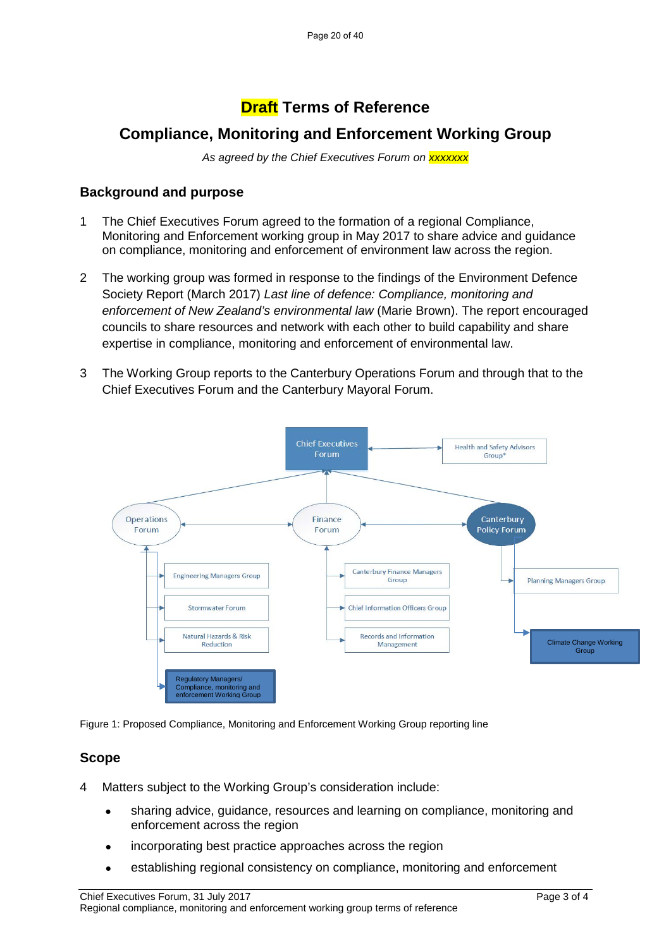### **Draft Terms of Reference**

### **Compliance, Monitoring and Enforcement Working Group**

*As agreed by the Chief Executives Forum on xxxxxxx*

#### **Background and purpose**

- 1 The Chief Executives Forum agreed to the formation of a regional Compliance, Monitoring and Enforcement working group in May 2017 to share advice and guidance on compliance, monitoring and enforcement of environment law across the region.
- 2 The working group was formed in response to the findings of the Environment Defence Society Report (March 2017) *Last line of defence: Compliance, monitoring and enforcement of New Zealand's environmental law* (Marie Brown). The report encouraged councils to share resources and network with each other to build capability and share expertise in compliance, monitoring and enforcement of environmental law.
- 3 The Working Group reports to the Canterbury Operations Forum and through that to the Chief Executives Forum and the Canterbury Mayoral Forum.



Figure 1: Proposed Compliance, Monitoring and Enforcement Working Group reporting line

### **Scope**

- 4 Matters subject to the Working Group's consideration include:
	- sharing advice, guidance, resources and learning on compliance, monitoring and enforcement across the region
	- incorporating best practice approaches across the region
	- establishing regional consistency on compliance, monitoring and enforcement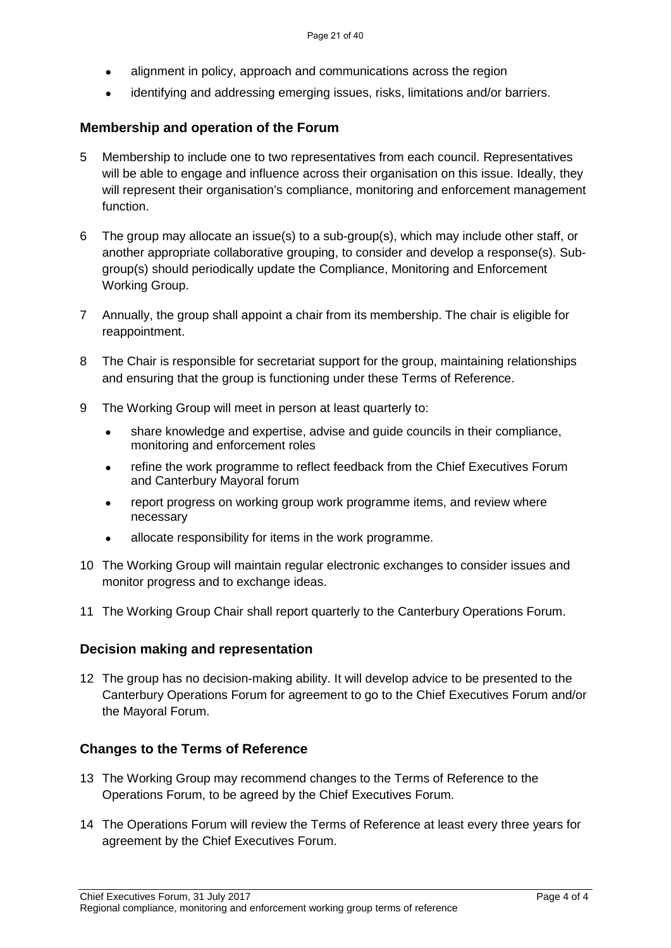- alignment in policy, approach and communications across the region
- identifying and addressing emerging issues, risks, limitations and/or barriers.

#### **Membership and operation of the Forum**

- 5 Membership to include one to two representatives from each council. Representatives will be able to engage and influence across their organisation on this issue. Ideally, they will represent their organisation's compliance, monitoring and enforcement management function.
- 6 The group may allocate an issue(s) to a sub-group(s), which may include other staff, or another appropriate collaborative grouping, to consider and develop a response(s). Subgroup(s) should periodically update the Compliance, Monitoring and Enforcement Working Group.
- 7 Annually, the group shall appoint a chair from its membership. The chair is eligible for reappointment.
- 8 The Chair is responsible for secretariat support for the group, maintaining relationships and ensuring that the group is functioning under these Terms of Reference.
- 9 The Working Group will meet in person at least quarterly to:
	- share knowledge and expertise, advise and guide councils in their compliance, monitoring and enforcement roles
	- refine the work programme to reflect feedback from the Chief Executives Forum and Canterbury Mayoral forum
	- report progress on working group work programme items, and review where necessary
	- allocate responsibility for items in the work programme.
- 10 The Working Group will maintain regular electronic exchanges to consider issues and monitor progress and to exchange ideas.
- 11 The Working Group Chair shall report quarterly to the Canterbury Operations Forum.

#### **Decision making and representation**

12 The group has no decision-making ability. It will develop advice to be presented to the Canterbury Operations Forum for agreement to go to the Chief Executives Forum and/or the Mayoral Forum.

### **Changes to the Terms of Reference**

- 13 The Working Group may recommend changes to the Terms of Reference to the Operations Forum, to be agreed by the Chief Executives Forum.
- 14 The Operations Forum will review the Terms of Reference at least every three years for agreement by the Chief Executives Forum.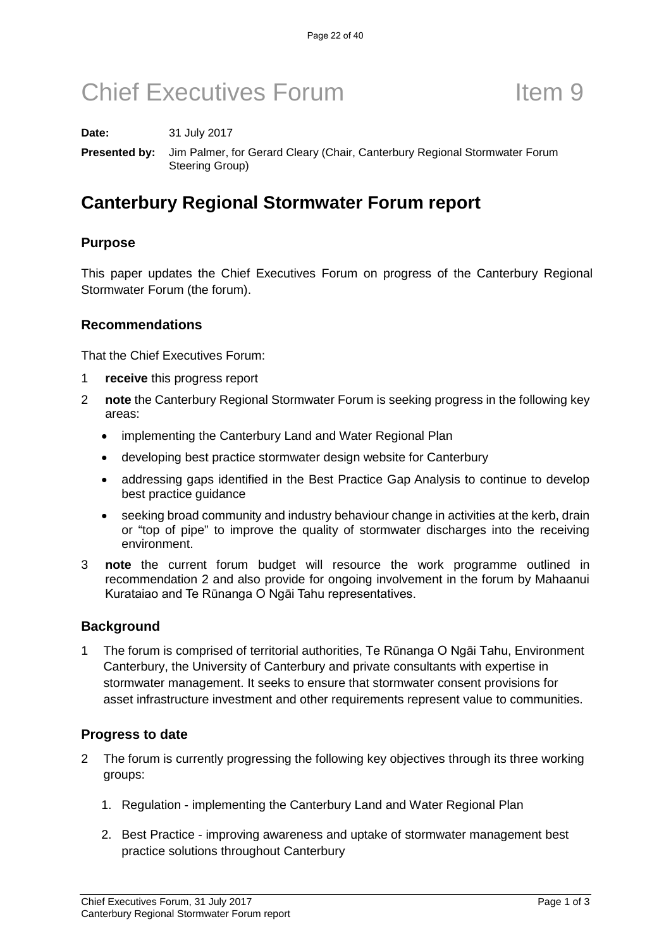**Date:** 31 July 2017

**Presented by:** Jim Palmer, for Gerard Cleary (Chair, Canterbury Regional Stormwater Forum Steering Group)

## **Canterbury Regional Stormwater Forum report**

### **Purpose**

This paper updates the Chief Executives Forum on progress of the Canterbury Regional Stormwater Forum (the forum).

#### **Recommendations**

That the Chief Executives Forum:

- 1 **receive** this progress report
- 2 **note** the Canterbury Regional Stormwater Forum is seeking progress in the following key areas:
	- implementing the Canterbury Land and Water Regional Plan
	- developing best practice stormwater design website for Canterbury
	- addressing gaps identified in the Best Practice Gap Analysis to continue to develop best practice guidance
	- seeking broad community and industry behaviour change in activities at the kerb, drain or "top of pipe" to improve the quality of stormwater discharges into the receiving environment.
- 3 **note** the current forum budget will resource the work programme outlined in recommendation 2 and also provide for ongoing involvement in the forum by Mahaanui Kurataiao and Te Rūnanga O Ngāi Tahu representatives.

### **Background**

1 The forum is comprised of territorial authorities, Te Rūnanga O Ngāi Tahu, Environment Canterbury, the University of Canterbury and private consultants with expertise in stormwater management. It seeks to ensure that stormwater consent provisions for asset infrastructure investment and other requirements represent value to communities.

### **Progress to date**

- 2 The forum is currently progressing the following key objectives through its three working groups:
	- 1. Regulation implementing the Canterbury Land and Water Regional Plan
	- 2. Best Practice improving awareness and uptake of stormwater management best practice solutions throughout Canterbury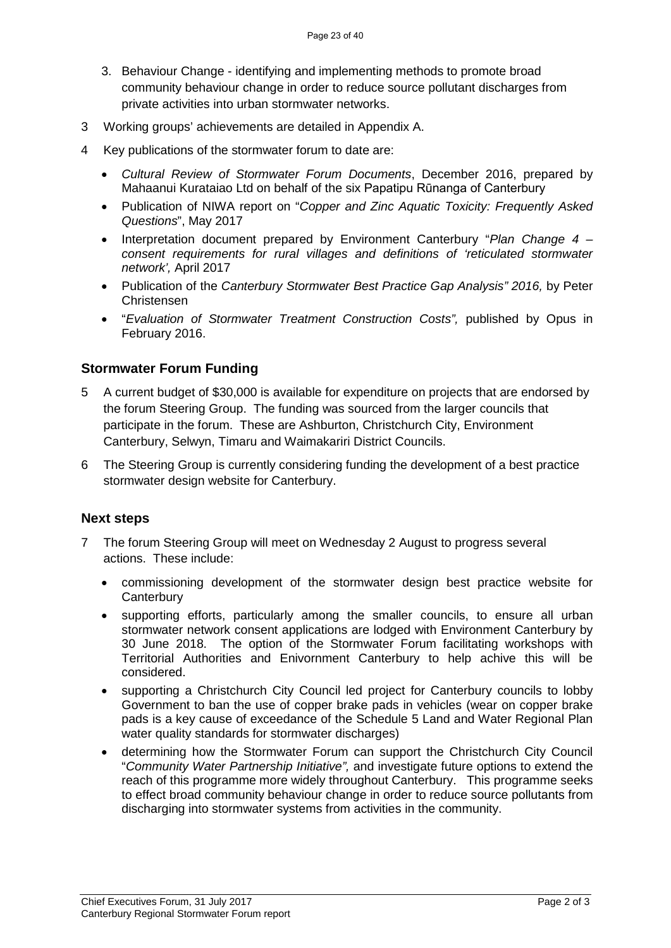- 3. Behaviour Change identifying and implementing methods to promote broad community behaviour change in order to reduce source pollutant discharges from private activities into urban stormwater networks.
- 3 Working groups' achievements are detailed in Appendix A.
- 4 Key publications of the stormwater forum to date are:
	- *Cultural Review of Stormwater Forum Documents*, December 2016, prepared by Mahaanui Kurataiao Ltd on behalf of the six Papatipu Rūnanga of Canterbury
	- Publication of NIWA report on "*Copper and Zinc Aquatic Toxicity: Frequently Asked Questions*", May 2017
	- Interpretation document prepared by Environment Canterbury "*Plan Change 4 consent requirements for rural villages and definitions of 'reticulated stormwater network',* April 2017
	- Publication of the *Canterbury Stormwater Best Practice Gap Analysis" 2016,* by Peter Christensen
	- "*Evaluation of Stormwater Treatment Construction Costs",* published by Opus in February 2016.

#### **Stormwater Forum Funding**

- 5 A current budget of \$30,000 is available for expenditure on projects that are endorsed by the forum Steering Group. The funding was sourced from the larger councils that participate in the forum. These are Ashburton, Christchurch City, Environment Canterbury, Selwyn, Timaru and Waimakariri District Councils.
- 6 The Steering Group is currently considering funding the development of a best practice stormwater design website for Canterbury.

#### **Next steps**

- 7 The forum Steering Group will meet on Wednesday 2 August to progress several actions. These include:
	- commissioning development of the stormwater design best practice website for **Canterbury**
	- supporting efforts, particularly among the smaller councils, to ensure all urban stormwater network consent applications are lodged with Environment Canterbury by 30 June 2018. The option of the Stormwater Forum facilitating workshops with Territorial Authorities and Enivornment Canterbury to help achive this will be considered.
	- supporting a Christchurch City Council led project for Canterbury councils to lobby Government to ban the use of copper brake pads in vehicles (wear on copper brake pads is a key cause of exceedance of the Schedule 5 Land and Water Regional Plan water quality standards for stormwater discharges)
	- determining how the Stormwater Forum can support the Christchurch City Council "*Community Water Partnership Initiative",* and investigate future options to extend the reach of this programme more widely throughout Canterbury. This programme seeks to effect broad community behaviour change in order to reduce source pollutants from discharging into stormwater systems from activities in the community.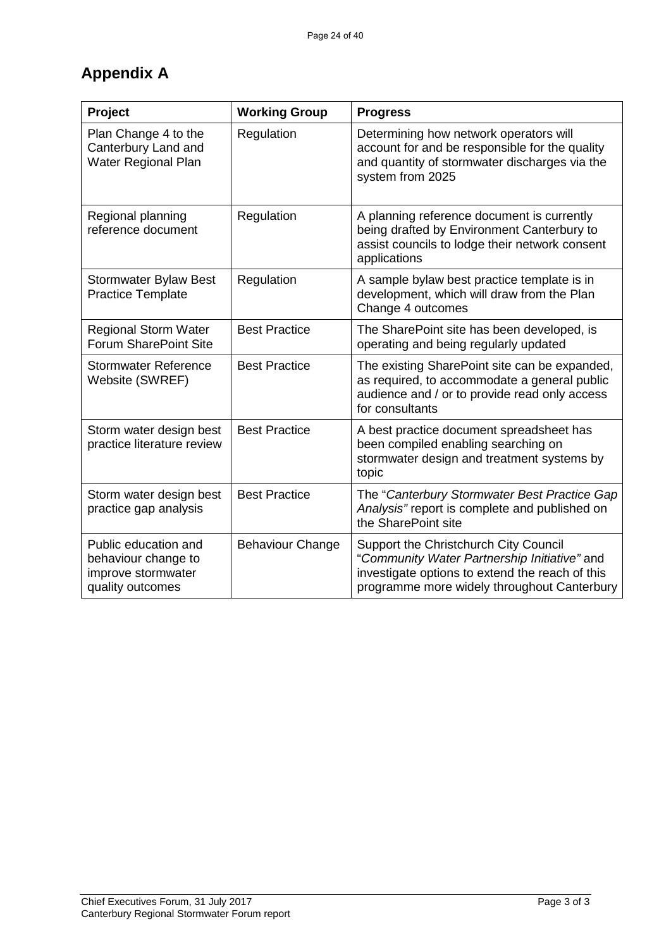## **Appendix A**

| Project                                                                               | <b>Working Group</b>    | <b>Progress</b>                                                                                                                                                                         |
|---------------------------------------------------------------------------------------|-------------------------|-----------------------------------------------------------------------------------------------------------------------------------------------------------------------------------------|
| Plan Change 4 to the<br>Canterbury Land and<br>Water Regional Plan                    | Regulation              | Determining how network operators will<br>account for and be responsible for the quality<br>and quantity of stormwater discharges via the<br>system from 2025                           |
| Regional planning<br>reference document                                               | Regulation              | A planning reference document is currently<br>being drafted by Environment Canterbury to<br>assist councils to lodge their network consent<br>applications                              |
| <b>Stormwater Bylaw Best</b><br><b>Practice Template</b>                              | Regulation              | A sample bylaw best practice template is in<br>development, which will draw from the Plan<br>Change 4 outcomes                                                                          |
| <b>Regional Storm Water</b><br><b>Forum SharePoint Site</b>                           | <b>Best Practice</b>    | The SharePoint site has been developed, is<br>operating and being regularly updated                                                                                                     |
| <b>Stormwater Reference</b><br>Website (SWREF)                                        | <b>Best Practice</b>    | The existing SharePoint site can be expanded,<br>as required, to accommodate a general public<br>audience and / or to provide read only access<br>for consultants                       |
| Storm water design best<br>practice literature review                                 | <b>Best Practice</b>    | A best practice document spreadsheet has<br>been compiled enabling searching on<br>stormwater design and treatment systems by<br>topic                                                  |
| Storm water design best<br>practice gap analysis                                      | <b>Best Practice</b>    | The "Canterbury Stormwater Best Practice Gap<br>Analysis" report is complete and published on<br>the SharePoint site                                                                    |
| Public education and<br>behaviour change to<br>improve stormwater<br>quality outcomes | <b>Behaviour Change</b> | Support the Christchurch City Council<br>"Community Water Partnership Initiative" and<br>investigate options to extend the reach of this<br>programme more widely throughout Canterbury |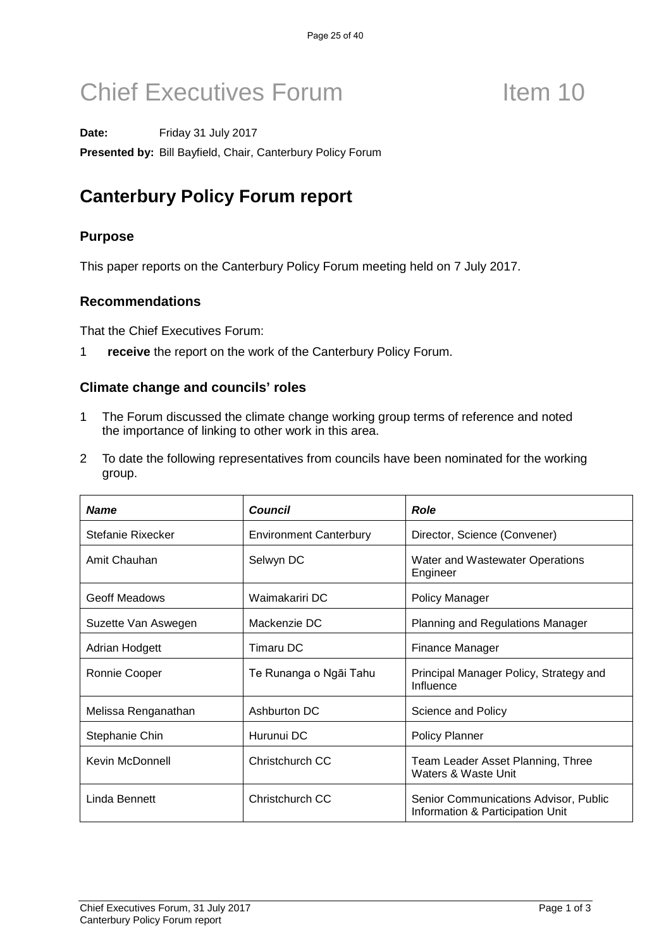Date: Friday 31 July 2017

**Presented by:** Bill Bayfield, Chair, Canterbury Policy Forum

# **Canterbury Policy Forum report**

### **Purpose**

This paper reports on the Canterbury Policy Forum meeting held on 7 July 2017.

### **Recommendations**

That the Chief Executives Forum:

1 **receive** the report on the work of the Canterbury Policy Forum.

#### **Climate change and councils' roles**

- 1 The Forum discussed the climate change working group terms of reference and noted the importance of linking to other work in this area.
- 2 To date the following representatives from councils have been nominated for the working group.

| <b>Name</b>         | <b>Council</b>                | <b>Role</b>                                                               |
|---------------------|-------------------------------|---------------------------------------------------------------------------|
| Stefanie Rixecker   | <b>Environment Canterbury</b> | Director, Science (Convener)                                              |
| Amit Chauhan        | Selwyn DC                     | Water and Wastewater Operations<br>Engineer                               |
| Geoff Meadows       | Waimakariri DC                | <b>Policy Manager</b>                                                     |
| Suzette Van Aswegen | Mackenzie DC                  | Planning and Regulations Manager                                          |
| Adrian Hodgett      | Timaru DC                     | Finance Manager                                                           |
| Ronnie Cooper       | Te Runanga o Ngāi Tahu        | Principal Manager Policy, Strategy and<br>Influence                       |
| Melissa Renganathan | Ashburton DC                  | Science and Policy                                                        |
| Stephanie Chin      | Hurunui DC                    | <b>Policy Planner</b>                                                     |
| Kevin McDonnell     | Christchurch CC               | Team Leader Asset Planning, Three<br>Waters & Waste Unit                  |
| Linda Bennett       | Christchurch CC               | Senior Communications Advisor, Public<br>Information & Participation Unit |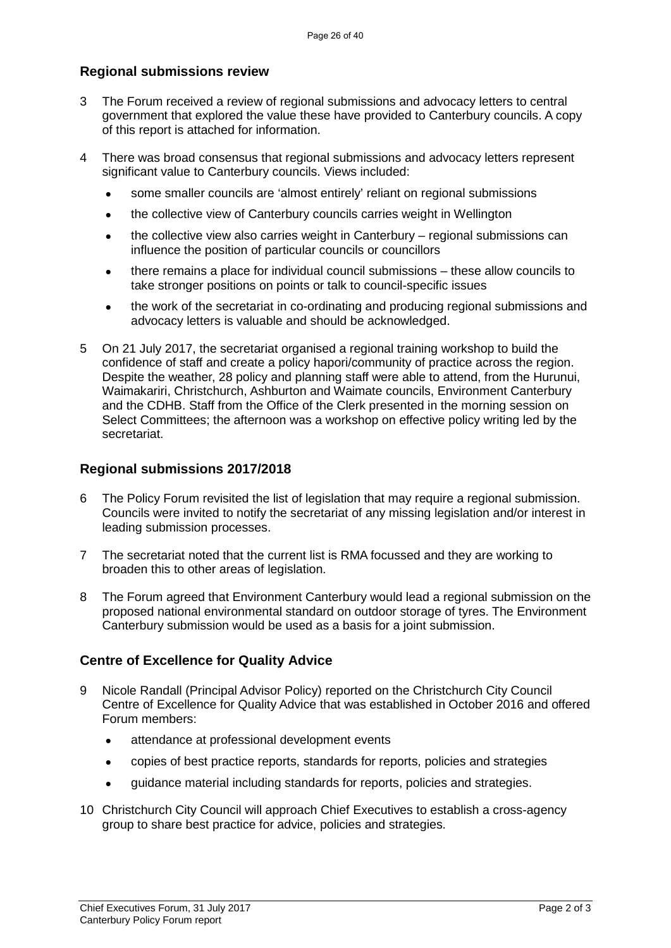### **Regional submissions review**

- 3 The Forum received a review of regional submissions and advocacy letters to central government that explored the value these have provided to Canterbury councils. A copy of this report is attached for information.
- 4 There was broad consensus that regional submissions and advocacy letters represent significant value to Canterbury councils. Views included:
	- some smaller councils are 'almost entirely' reliant on regional submissions
	- the collective view of Canterbury councils carries weight in Wellington
	- the collective view also carries weight in Canterbury regional submissions can influence the position of particular councils or councillors
	- there remains a place for individual council submissions these allow councils to take stronger positions on points or talk to council-specific issues
	- the work of the secretariat in co-ordinating and producing regional submissions and advocacy letters is valuable and should be acknowledged.
- 5 On 21 July 2017, the secretariat organised a regional training workshop to build the confidence of staff and create a policy hapori/community of practice across the region. Despite the weather, 28 policy and planning staff were able to attend, from the Hurunui, Waimakariri, Christchurch, Ashburton and Waimate councils, Environment Canterbury and the CDHB. Staff from the Office of the Clerk presented in the morning session on Select Committees; the afternoon was a workshop on effective policy writing led by the secretariat.

#### **Regional submissions 2017/2018**

- 6 The Policy Forum revisited the list of legislation that may require a regional submission. Councils were invited to notify the secretariat of any missing legislation and/or interest in leading submission processes.
- 7 The secretariat noted that the current list is RMA focussed and they are working to broaden this to other areas of legislation.
- 8 The Forum agreed that Environment Canterbury would lead a regional submission on the proposed national environmental standard on outdoor storage of tyres. The Environment Canterbury submission would be used as a basis for a joint submission.

### **Centre of Excellence for Quality Advice**

- 9 Nicole Randall (Principal Advisor Policy) reported on the Christchurch City Council Centre of Excellence for Quality Advice that was established in October 2016 and offered Forum members:
	- attendance at professional development events
	- copies of best practice reports, standards for reports, policies and strategies
	- guidance material including standards for reports, policies and strategies.
- 10 Christchurch City Council will approach Chief Executives to establish a cross-agency group to share best practice for advice, policies and strategies.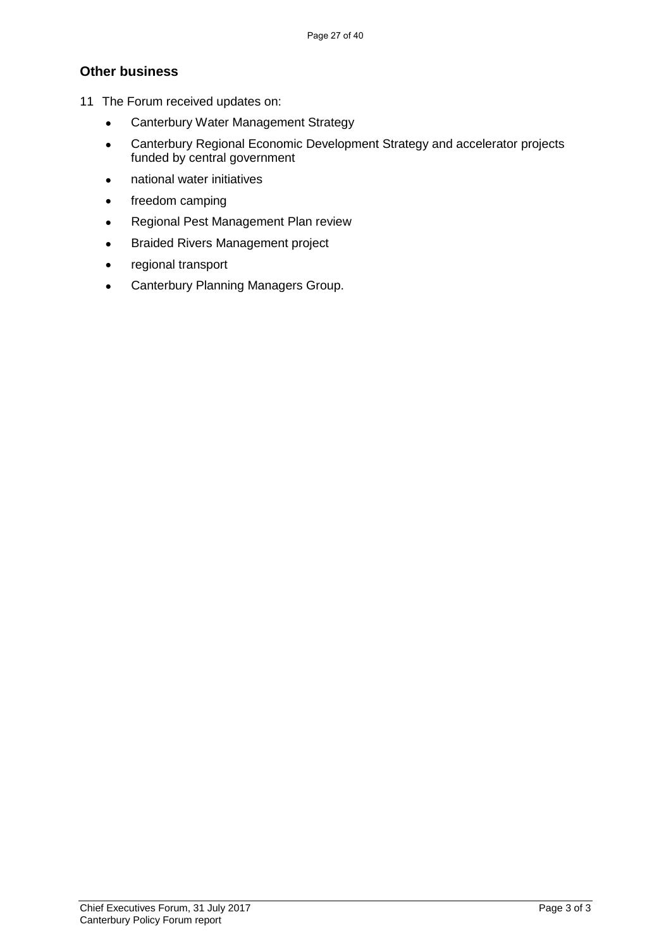### **Other business**

- 11 The Forum received updates on:
	- Canterbury Water Management Strategy
	- Canterbury Regional Economic Development Strategy and accelerator projects funded by central government
	- national water initiatives
	- freedom camping
	- Regional Pest Management Plan review
	- Braided Rivers Management project
	- regional transport
	- Canterbury Planning Managers Group.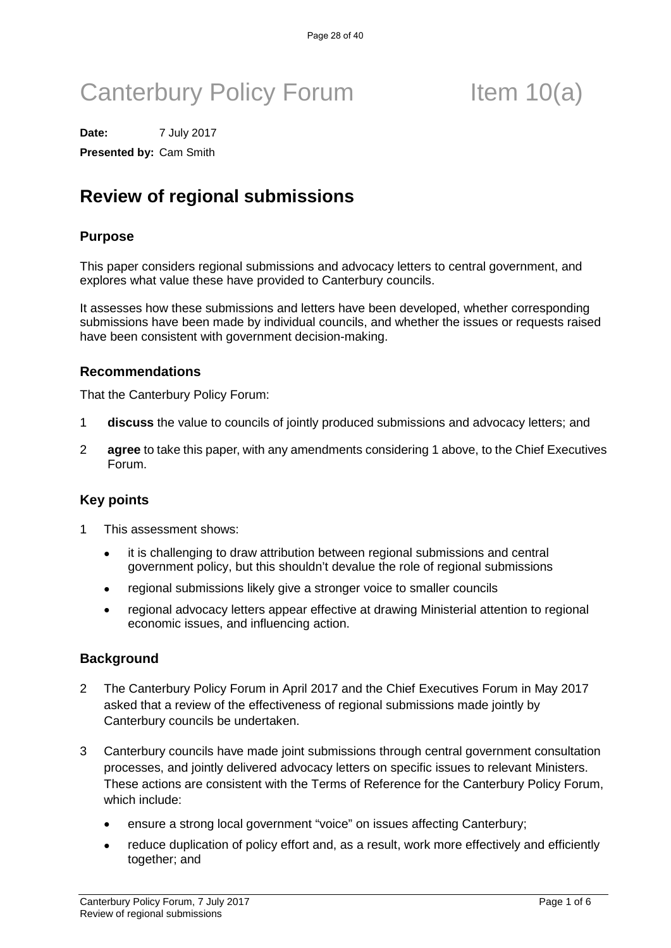# Canterbury Policy Forum Item 10(a)

**Date:** 7 July 2017 **Presented by:** Cam Smith

## **Review of regional submissions**

#### **Purpose**

This paper considers regional submissions and advocacy letters to central government, and explores what value these have provided to Canterbury councils.

It assesses how these submissions and letters have been developed, whether corresponding submissions have been made by individual councils, and whether the issues or requests raised have been consistent with government decision-making.

#### **Recommendations**

That the Canterbury Policy Forum:

- 1 **discuss** the value to councils of jointly produced submissions and advocacy letters; and
- 2 **agree** to take this paper, with any amendments considering 1 above, to the Chief Executives Forum.

#### **Key points**

- 1 This assessment shows:
	- it is challenging to draw attribution between regional submissions and central government policy, but this shouldn't devalue the role of regional submissions
	- regional submissions likely give a stronger voice to smaller councils
	- regional advocacy letters appear effective at drawing Ministerial attention to regional economic issues, and influencing action.

#### **Background**

- 2 The Canterbury Policy Forum in April 2017 and the Chief Executives Forum in May 2017 asked that a review of the effectiveness of regional submissions made jointly by Canterbury councils be undertaken.
- 3 Canterbury councils have made joint submissions through central government consultation processes, and jointly delivered advocacy letters on specific issues to relevant Ministers. These actions are consistent with the Terms of Reference for the Canterbury Policy Forum, which include:
	- ensure a strong local government "voice" on issues affecting Canterbury;
	- reduce duplication of policy effort and, as a result, work more effectively and efficiently together; and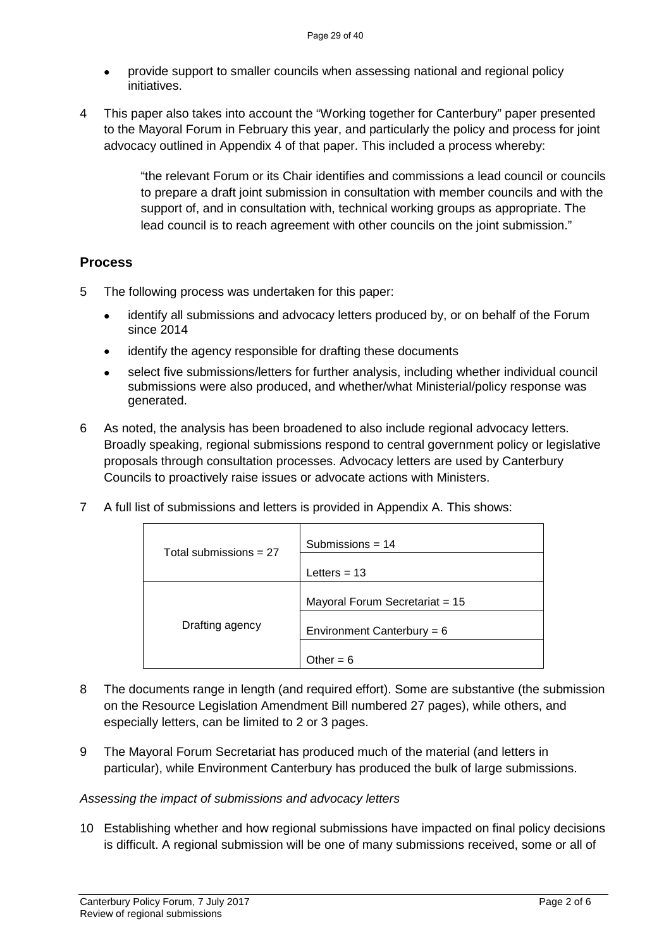- provide support to smaller councils when assessing national and regional policy initiatives.
- 4 This paper also takes into account the "Working together for Canterbury" paper presented to the Mayoral Forum in February this year, and particularly the policy and process for joint advocacy outlined in Appendix 4 of that paper. This included a process whereby:

"the relevant Forum or its Chair identifies and commissions a lead council or councils to prepare a draft joint submission in consultation with member councils and with the support of, and in consultation with, technical working groups as appropriate. The lead council is to reach agreement with other councils on the joint submission."

#### **Process**

- 5 The following process was undertaken for this paper:
	- identify all submissions and advocacy letters produced by, or on behalf of the Forum since 2014
	- identify the agency responsible for drafting these documents
	- select five submissions/letters for further analysis, including whether individual council submissions were also produced, and whether/what Ministerial/policy response was generated.
- 6 As noted, the analysis has been broadened to also include regional advocacy letters. Broadly speaking, regional submissions respond to central government policy or legislative proposals through consultation processes. Advocacy letters are used by Canterbury Councils to proactively raise issues or advocate actions with Ministers.
- 7 A full list of submissions and letters is provided in Appendix A. This shows:

| Total submissions $= 27$ | Submissions = $14$             |
|--------------------------|--------------------------------|
|                          | Letters $= 13$                 |
|                          | Mayoral Forum Secretariat = 15 |
| Drafting agency          | Environment Canterbury = $6$   |
|                          | Other = ჩ                      |

- 8 The documents range in length (and required effort). Some are substantive (the submission on the Resource Legislation Amendment Bill numbered 27 pages), while others, and especially letters, can be limited to 2 or 3 pages.
- 9 The Mayoral Forum Secretariat has produced much of the material (and letters in particular), while Environment Canterbury has produced the bulk of large submissions.

#### *Assessing the impact of submissions and advocacy letters*

10 Establishing whether and how regional submissions have impacted on final policy decisions is difficult. A regional submission will be one of many submissions received, some or all of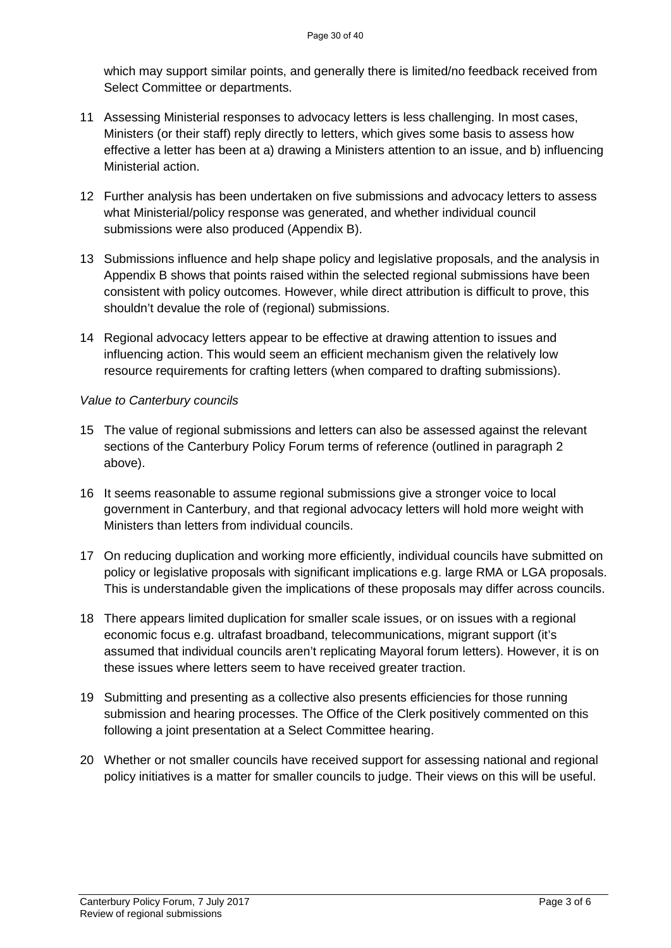which may support similar points, and generally there is limited/no feedback received from Select Committee or departments.

- 11 Assessing Ministerial responses to advocacy letters is less challenging. In most cases, Ministers (or their staff) reply directly to letters, which gives some basis to assess how effective a letter has been at a) drawing a Ministers attention to an issue, and b) influencing Ministerial action.
- 12 Further analysis has been undertaken on five submissions and advocacy letters to assess what Ministerial/policy response was generated, and whether individual council submissions were also produced (Appendix B).
- 13 Submissions influence and help shape policy and legislative proposals, and the analysis in Appendix B shows that points raised within the selected regional submissions have been consistent with policy outcomes. However, while direct attribution is difficult to prove, this shouldn't devalue the role of (regional) submissions.
- 14 Regional advocacy letters appear to be effective at drawing attention to issues and influencing action. This would seem an efficient mechanism given the relatively low resource requirements for crafting letters (when compared to drafting submissions).

#### *Value to Canterbury councils*

- 15 The value of regional submissions and letters can also be assessed against the relevant sections of the Canterbury Policy Forum terms of reference (outlined in paragraph 2 above).
- 16 It seems reasonable to assume regional submissions give a stronger voice to local government in Canterbury, and that regional advocacy letters will hold more weight with Ministers than letters from individual councils.
- 17 On reducing duplication and working more efficiently, individual councils have submitted on policy or legislative proposals with significant implications e.g. large RMA or LGA proposals. This is understandable given the implications of these proposals may differ across councils.
- 18 There appears limited duplication for smaller scale issues, or on issues with a regional economic focus e.g. ultrafast broadband, telecommunications, migrant support (it's assumed that individual councils aren't replicating Mayoral forum letters). However, it is on these issues where letters seem to have received greater traction.
- 19 Submitting and presenting as a collective also presents efficiencies for those running submission and hearing processes. The Office of the Clerk positively commented on this following a joint presentation at a Select Committee hearing.
- 20 Whether or not smaller councils have received support for assessing national and regional policy initiatives is a matter for smaller councils to judge. Their views on this will be useful.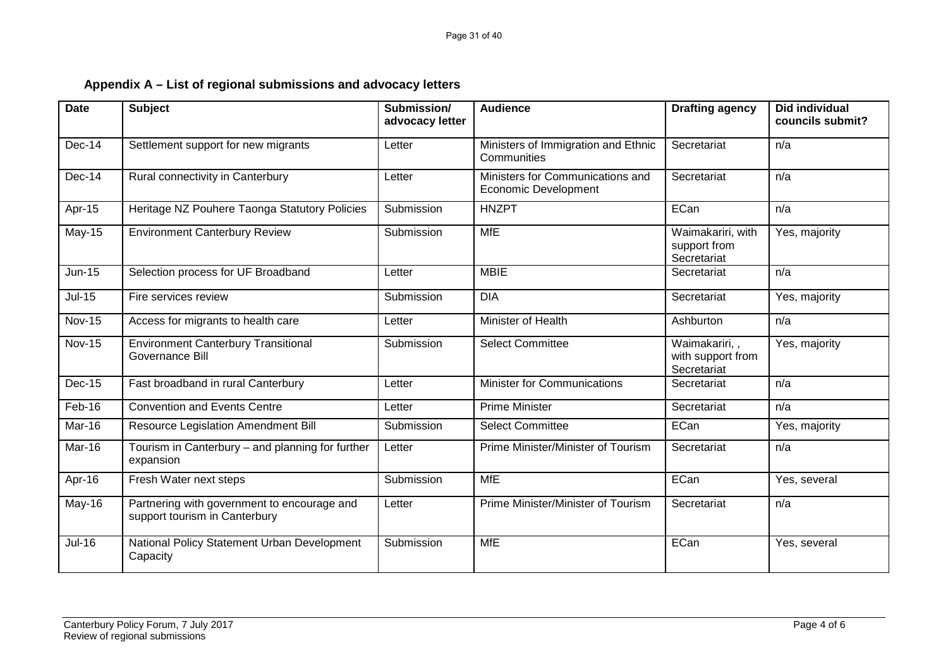|  | Appendix A – List of regional submissions and advocacy letters |
|--|----------------------------------------------------------------|
|--|----------------------------------------------------------------|

| <b>Date</b>   | <b>Subject</b>                                                               | Submission/<br>advocacy letter | <b>Audience</b>                                                 | <b>Drafting agency</b>                            | <b>Did individual</b><br>councils submit? |
|---------------|------------------------------------------------------------------------------|--------------------------------|-----------------------------------------------------------------|---------------------------------------------------|-------------------------------------------|
| Dec-14        | Settlement support for new migrants                                          | Letter                         | Ministers of Immigration and Ethnic<br>Communities              | Secretariat                                       | n/a                                       |
| Dec-14        | Rural connectivity in Canterbury                                             | Letter                         | Ministers for Communications and<br><b>Economic Development</b> | Secretariat                                       | n/a                                       |
| Apr-15        | Heritage NZ Pouhere Taonga Statutory Policies                                | Submission                     | <b>HNZPT</b>                                                    | ECan                                              | n/a                                       |
| $May-15$      | <b>Environment Canterbury Review</b>                                         | Submission                     | <b>MfE</b>                                                      | Waimakariri, with<br>support from<br>Secretariat  | Yes, majority                             |
| <b>Jun-15</b> | Selection process for UF Broadband                                           | Letter                         | <b>MBIE</b>                                                     | Secretariat                                       | n/a                                       |
| $Jul-15$      | Fire services review                                                         | Submission                     | <b>DIA</b>                                                      | Secretariat                                       | Yes, majority                             |
| <b>Nov-15</b> | Access for migrants to health care                                           | Letter                         | Minister of Health                                              | Ashburton                                         | n/a                                       |
| <b>Nov-15</b> | <b>Environment Canterbury Transitional</b><br>Governance Bill                | Submission                     | <b>Select Committee</b>                                         | Waimakariri,,<br>with support from<br>Secretariat | Yes, majority                             |
| Dec-15        | Fast broadband in rural Canterbury                                           | Letter                         | Minister for Communications                                     | Secretariat                                       | n/a                                       |
| Feb-16        | <b>Convention and Events Centre</b>                                          | Letter                         | Prime Minister                                                  | Secretariat                                       | n/a                                       |
| Mar-16        | Resource Legislation Amendment Bill                                          | Submission                     | <b>Select Committee</b>                                         | ECan                                              | Yes, majority                             |
| Mar-16        | Tourism in Canterbury - and planning for further<br>expansion                | Letter                         | Prime Minister/Minister of Tourism                              | Secretariat                                       | n/a                                       |
| Apr-16        | Fresh Water next steps                                                       | Submission                     | <b>MfE</b>                                                      | ECan                                              | Yes, several                              |
| May-16        | Partnering with government to encourage and<br>support tourism in Canterbury | Letter                         | Prime Minister/Minister of Tourism                              | Secretariat                                       | n/a                                       |
| $Jul-16$      | National Policy Statement Urban Development<br>Capacity                      | Submission                     | <b>MfE</b>                                                      | ECan                                              | Yes, several                              |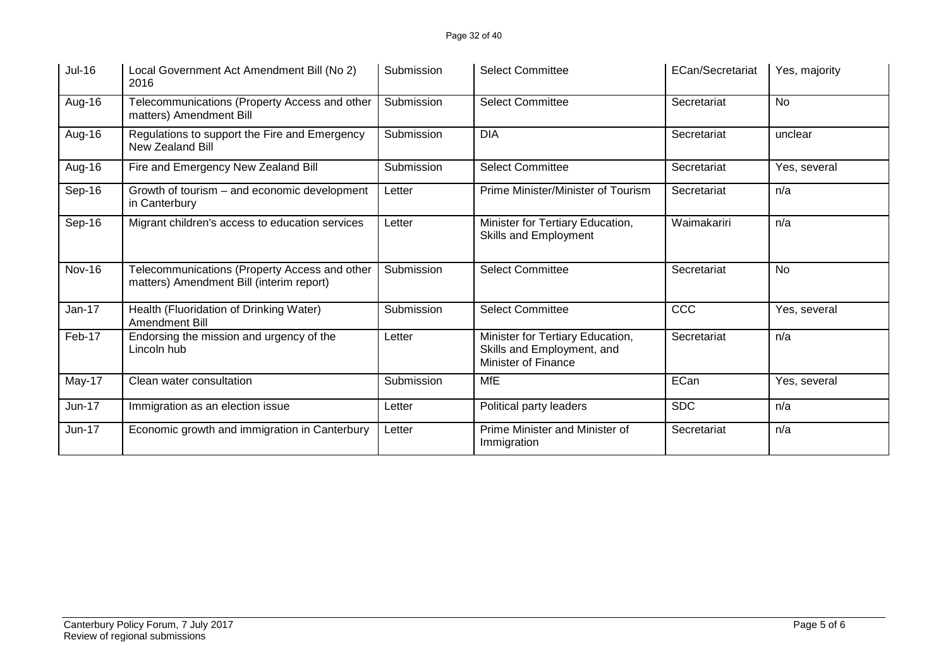| Jul-16        | Local Government Act Amendment Bill (No 2)<br>2016                                        | Submission | <b>Select Committee</b>                                                               | ECan/Secretariat | Yes, majority |
|---------------|-------------------------------------------------------------------------------------------|------------|---------------------------------------------------------------------------------------|------------------|---------------|
| Aug-16        | Telecommunications (Property Access and other<br>matters) Amendment Bill                  | Submission | <b>Select Committee</b>                                                               | Secretariat      | No            |
| Aug-16        | Regulations to support the Fire and Emergency<br>New Zealand Bill                         | Submission | <b>DIA</b>                                                                            | Secretariat      | unclear       |
| Aug-16        | Fire and Emergency New Zealand Bill                                                       | Submission | <b>Select Committee</b>                                                               | Secretariat      | Yes, several  |
| Sep-16        | Growth of tourism – and economic development<br>in Canterbury                             | Letter     | Prime Minister/Minister of Tourism                                                    | Secretariat      | n/a           |
| Sep-16        | Migrant children's access to education services                                           | Letter     | Minister for Tertiary Education,<br>Skills and Employment                             | Waimakariri      | n/a           |
| <b>Nov-16</b> | Telecommunications (Property Access and other<br>matters) Amendment Bill (interim report) | Submission | <b>Select Committee</b>                                                               | Secretariat      | No            |
| $Jan-17$      | Health (Fluoridation of Drinking Water)<br>Amendment Bill                                 | Submission | <b>Select Committee</b>                                                               | CCC              | Yes, several  |
| Feb-17        | Endorsing the mission and urgency of the<br>Lincoln hub                                   | Letter     | Minister for Tertiary Education,<br>Skills and Employment, and<br>Minister of Finance | Secretariat      | n/a           |
| May-17        | Clean water consultation                                                                  | Submission | <b>MfE</b>                                                                            | ECan             | Yes, several  |
| Jun-17        | Immigration as an election issue                                                          | Letter     | Political party leaders                                                               | <b>SDC</b>       | n/a           |
| Jun-17        | Economic growth and immigration in Canterbury                                             | Letter     | Prime Minister and Minister of<br>Immigration                                         | Secretariat      | n/a           |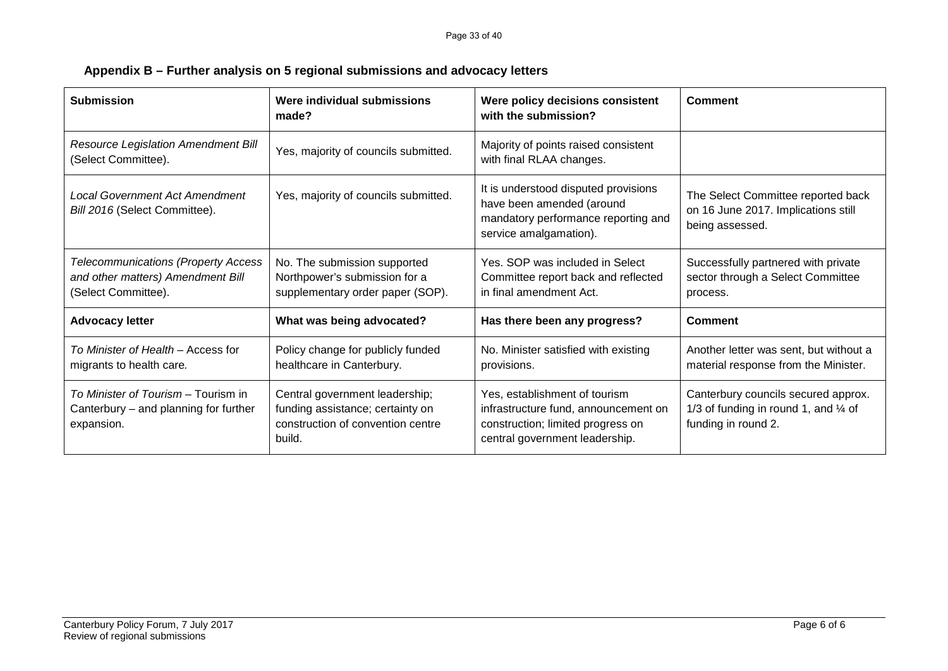| <b>Submission</b>                                                                                      | Were individual submissions<br>made?                                                                              | Were policy decisions consistent<br>with the submission?                                                                                     | Comment                                                                                                       |
|--------------------------------------------------------------------------------------------------------|-------------------------------------------------------------------------------------------------------------------|----------------------------------------------------------------------------------------------------------------------------------------------|---------------------------------------------------------------------------------------------------------------|
| <b>Resource Legislation Amendment Bill</b><br>(Select Committee).                                      | Yes, majority of councils submitted.                                                                              | Majority of points raised consistent<br>with final RLAA changes.                                                                             |                                                                                                               |
| <b>Local Government Act Amendment</b><br>Bill 2016 (Select Committee).                                 | Yes, majority of councils submitted.                                                                              | It is understood disputed provisions<br>have been amended (around<br>mandatory performance reporting and<br>service amalgamation).           | The Select Committee reported back<br>on 16 June 2017. Implications still<br>being assessed.                  |
| <b>Telecommunications (Property Access</b><br>and other matters) Amendment Bill<br>(Select Committee). | No. The submission supported<br>Northpower's submission for a<br>supplementary order paper (SOP).                 | Yes. SOP was included in Select<br>Committee report back and reflected<br>in final amendment Act.                                            | Successfully partnered with private<br>sector through a Select Committee<br>process.                          |
| <b>Advocacy letter</b>                                                                                 | What was being advocated?                                                                                         | Has there been any progress?                                                                                                                 | Comment                                                                                                       |
| To Minister of Health – Access for<br>migrants to health care.                                         | Policy change for publicly funded<br>healthcare in Canterbury.                                                    | No. Minister satisfied with existing<br>provisions.                                                                                          | Another letter was sent, but without a<br>material response from the Minister.                                |
| To Minister of Tourism - Tourism in<br>Canterbury – and planning for further<br>expansion.             | Central government leadership;<br>funding assistance; certainty on<br>construction of convention centre<br>build. | Yes, establishment of tourism<br>infrastructure fund, announcement on<br>construction; limited progress on<br>central government leadership. | Canterbury councils secured approx.<br>1/3 of funding in round 1, and $\frac{1}{4}$ of<br>funding in round 2. |

**Appendix B – Further analysis on 5 regional submissions and advocacy letters**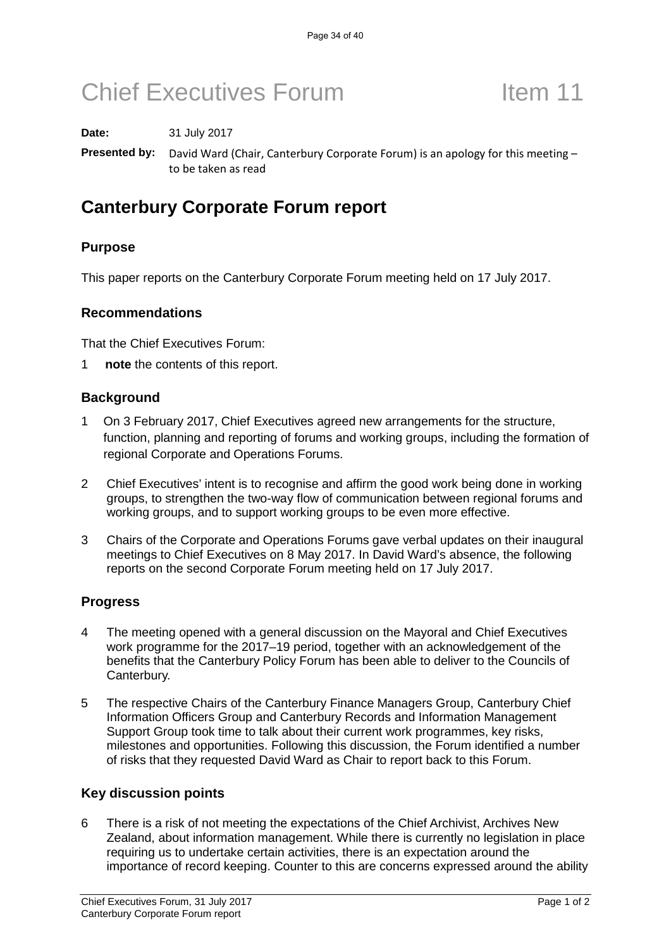**Date:** 31 July 2017

**Presented by:** David Ward (Chair, Canterbury Corporate Forum) is an apology for this meeting – to be taken as read

### **Canterbury Corporate Forum report**

### **Purpose**

This paper reports on the Canterbury Corporate Forum meeting held on 17 July 2017.

#### **Recommendations**

That the Chief Executives Forum:

1 **note** the contents of this report.

#### **Background**

- 1 On 3 February 2017, Chief Executives agreed new arrangements for the structure, function, planning and reporting of forums and working groups, including the formation of regional Corporate and Operations Forums.
- 2 Chief Executives' intent is to recognise and affirm the good work being done in working groups, to strengthen the two-way flow of communication between regional forums and working groups, and to support working groups to be even more effective.
- 3 Chairs of the Corporate and Operations Forums gave verbal updates on their inaugural meetings to Chief Executives on 8 May 2017. In David Ward's absence, the following reports on the second Corporate Forum meeting held on 17 July 2017.

### **Progress**

- 4 The meeting opened with a general discussion on the Mayoral and Chief Executives work programme for the 2017–19 period, together with an acknowledgement of the benefits that the Canterbury Policy Forum has been able to deliver to the Councils of Canterbury.
- 5 The respective Chairs of the Canterbury Finance Managers Group, Canterbury Chief Information Officers Group and Canterbury Records and Information Management Support Group took time to talk about their current work programmes, key risks, milestones and opportunities. Following this discussion, the Forum identified a number of risks that they requested David Ward as Chair to report back to this Forum.

#### **Key discussion points**

6 There is a risk of not meeting the expectations of the Chief Archivist, Archives New Zealand, about information management. While there is currently no legislation in place requiring us to undertake certain activities, there is an expectation around the importance of record keeping. Counter to this are concerns expressed around the ability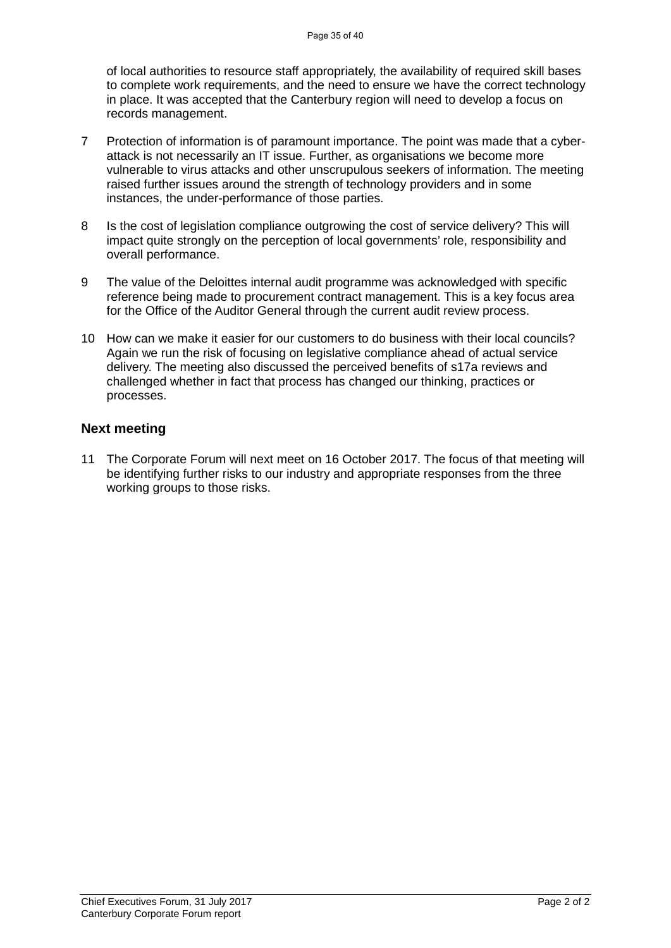of local authorities to resource staff appropriately, the availability of required skill bases to complete work requirements, and the need to ensure we have the correct technology in place. It was accepted that the Canterbury region will need to develop a focus on records management.

- 7 Protection of information is of paramount importance. The point was made that a cyberattack is not necessarily an IT issue. Further, as organisations we become more vulnerable to virus attacks and other unscrupulous seekers of information. The meeting raised further issues around the strength of technology providers and in some instances, the under-performance of those parties.
- 8 Is the cost of legislation compliance outgrowing the cost of service delivery? This will impact quite strongly on the perception of local governments' role, responsibility and overall performance.
- 9 The value of the Deloittes internal audit programme was acknowledged with specific reference being made to procurement contract management. This is a key focus area for the Office of the Auditor General through the current audit review process.
- 10 How can we make it easier for our customers to do business with their local councils? Again we run the risk of focusing on legislative compliance ahead of actual service delivery. The meeting also discussed the perceived benefits of s17a reviews and challenged whether in fact that process has changed our thinking, practices or processes.

#### **Next meeting**

11 The Corporate Forum will next meet on 16 October 2017. The focus of that meeting will be identifying further risks to our industry and appropriate responses from the three working groups to those risks.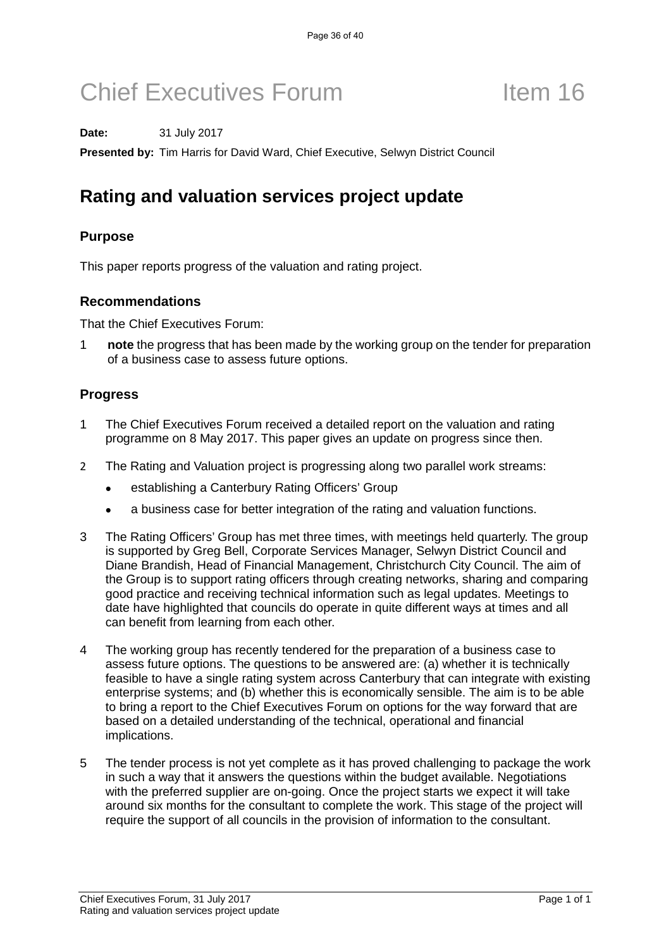#### **Date:** 31 July 2017

**Presented by:** Tim Harris for David Ward, Chief Executive, Selwyn District Council

## **Rating and valuation services project update**

### **Purpose**

This paper reports progress of the valuation and rating project.

#### **Recommendations**

That the Chief Executives Forum:

1 **note** the progress that has been made by the working group on the tender for preparation of a business case to assess future options.

#### **Progress**

- 1 The Chief Executives Forum received a detailed report on the valuation and rating programme on 8 May 2017. This paper gives an update on progress since then.
- 2 The Rating and Valuation project is progressing along two parallel work streams:
	- establishing a Canterbury Rating Officers' Group
	- a business case for better integration of the rating and valuation functions.
- 3 The Rating Officers' Group has met three times, with meetings held quarterly. The group is supported by Greg Bell, Corporate Services Manager, Selwyn District Council and Diane Brandish, Head of Financial Management, Christchurch City Council. The aim of the Group is to support rating officers through creating networks, sharing and comparing good practice and receiving technical information such as legal updates. Meetings to date have highlighted that councils do operate in quite different ways at times and all can benefit from learning from each other.
- 4 The working group has recently tendered for the preparation of a business case to assess future options. The questions to be answered are: (a) whether it is technically feasible to have a single rating system across Canterbury that can integrate with existing enterprise systems; and (b) whether this is economically sensible. The aim is to be able to bring a report to the Chief Executives Forum on options for the way forward that are based on a detailed understanding of the technical, operational and financial implications.
- 5 The tender process is not yet complete as it has proved challenging to package the work in such a way that it answers the questions within the budget available. Negotiations with the preferred supplier are on-going. Once the project starts we expect it will take around six months for the consultant to complete the work. This stage of the project will require the support of all councils in the provision of information to the consultant.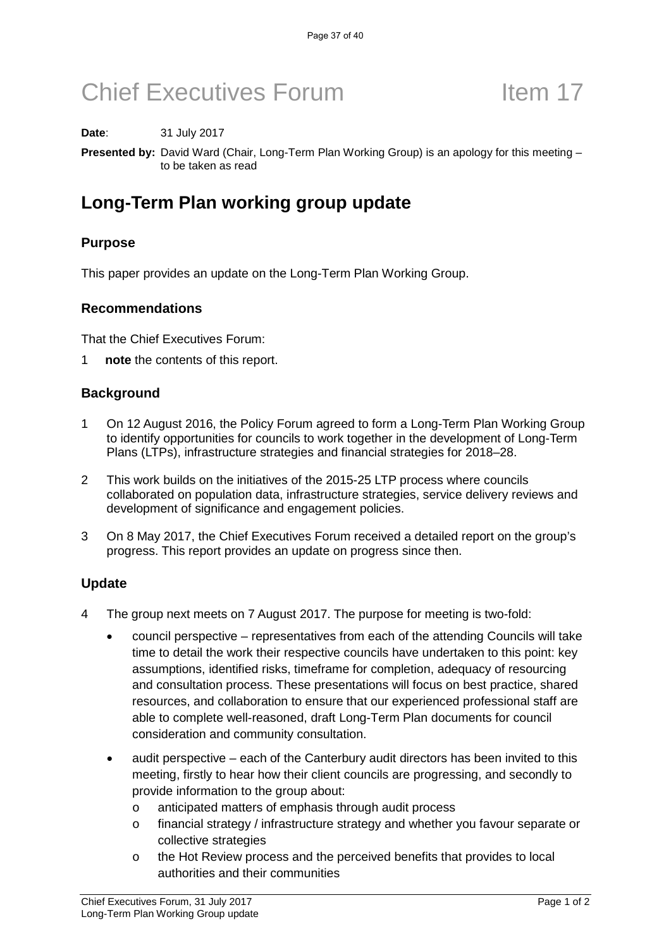#### **Date**: 31 July 2017

**Presented by:** David Ward (Chair, Long-Term Plan Working Group) is an apology for this meeting – to be taken as read

## **Long-Term Plan working group update**

### **Purpose**

This paper provides an update on the Long-Term Plan Working Group.

#### **Recommendations**

That the Chief Executives Forum:

1 **note** the contents of this report.

#### **Background**

- 1 On 12 August 2016, the Policy Forum agreed to form a Long-Term Plan Working Group to identify opportunities for councils to work together in the development of Long-Term Plans (LTPs), infrastructure strategies and financial strategies for 2018–28.
- 2 This work builds on the initiatives of the 2015-25 LTP process where councils collaborated on population data, infrastructure strategies, service delivery reviews and development of significance and engagement policies.
- 3 On 8 May 2017, the Chief Executives Forum received a detailed report on the group's progress. This report provides an update on progress since then.

#### **Update**

- 4 The group next meets on 7 August 2017. The purpose for meeting is two-fold:
	- council perspective representatives from each of the attending Councils will take time to detail the work their respective councils have undertaken to this point: key assumptions, identified risks, timeframe for completion, adequacy of resourcing and consultation process. These presentations will focus on best practice, shared resources, and collaboration to ensure that our experienced professional staff are able to complete well-reasoned, draft Long-Term Plan documents for council consideration and community consultation.
	- audit perspective each of the Canterbury audit directors has been invited to this meeting, firstly to hear how their client councils are progressing, and secondly to provide information to the group about:
		- o anticipated matters of emphasis through audit process
		- o financial strategy / infrastructure strategy and whether you favour separate or collective strategies
		- o the Hot Review process and the perceived benefits that provides to local authorities and their communities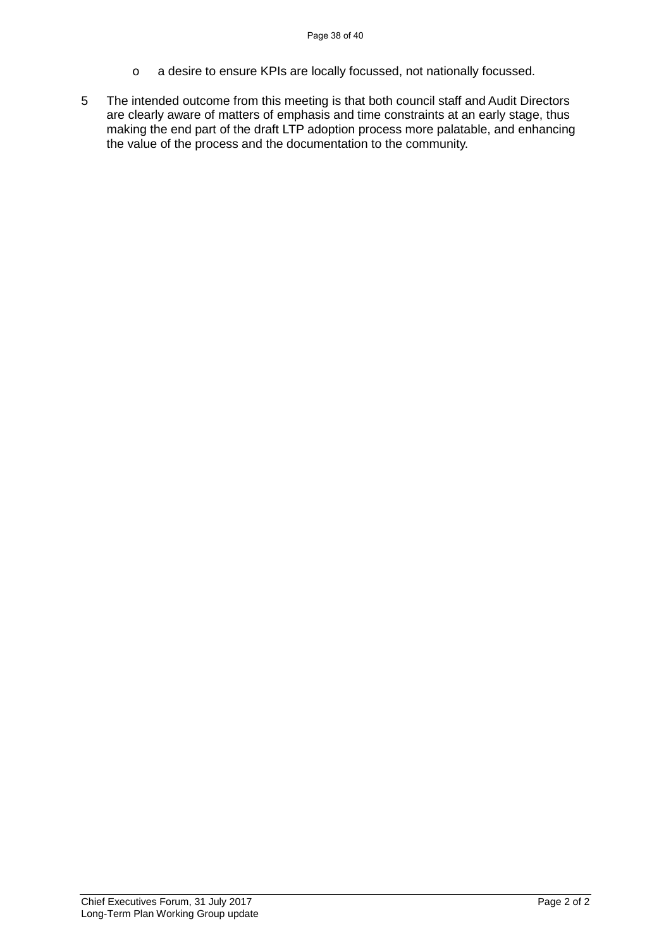- o a desire to ensure KPIs are locally focussed, not nationally focussed.
- 5 The intended outcome from this meeting is that both council staff and Audit Directors are clearly aware of matters of emphasis and time constraints at an early stage, thus making the end part of the draft LTP adoption process more palatable, and enhancing the value of the process and the documentation to the community.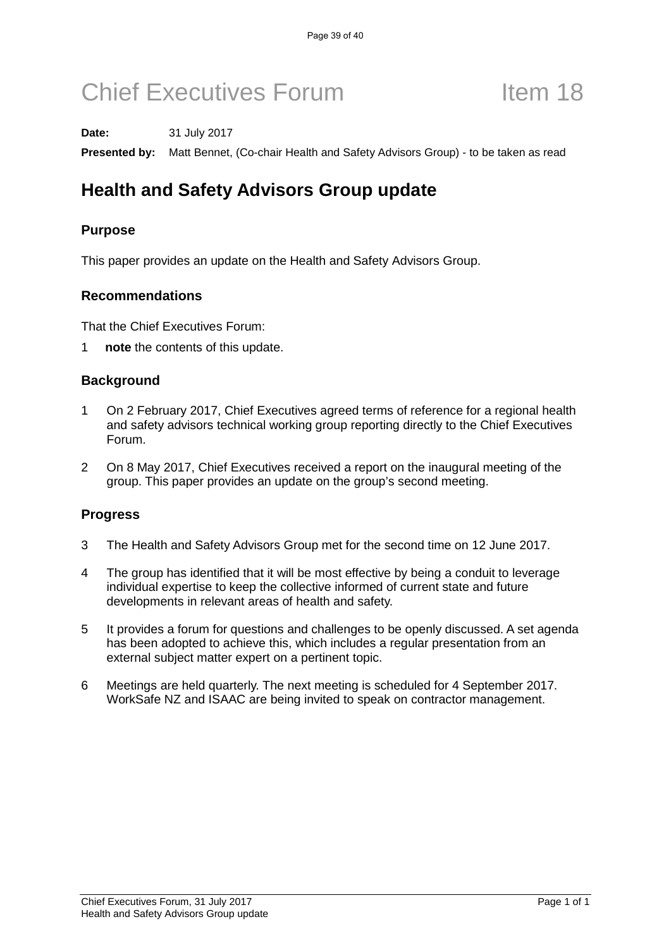#### **Date:** 31 July 2017

**Presented by:** Matt Bennet, (Co-chair Health and Safety Advisors Group) - to be taken as read

## **Health and Safety Advisors Group update**

### **Purpose**

This paper provides an update on the Health and Safety Advisors Group.

#### **Recommendations**

That the Chief Executives Forum:

1 **note** the contents of this update.

### **Background**

- 1 On 2 February 2017, Chief Executives agreed terms of reference for a regional health and safety advisors technical working group reporting directly to the Chief Executives Forum.
- 2 On 8 May 2017, Chief Executives received a report on the inaugural meeting of the group. This paper provides an update on the group's second meeting.

### **Progress**

- 3 The Health and Safety Advisors Group met for the second time on 12 June 2017.
- 4 The group has identified that it will be most effective by being a conduit to leverage individual expertise to keep the collective informed of current state and future developments in relevant areas of health and safety.
- 5 It provides a forum for questions and challenges to be openly discussed. A set agenda has been adopted to achieve this, which includes a regular presentation from an external subject matter expert on a pertinent topic.
- 6 Meetings are held quarterly. The next meeting is scheduled for 4 September 2017. WorkSafe NZ and ISAAC are being invited to speak on contractor management.